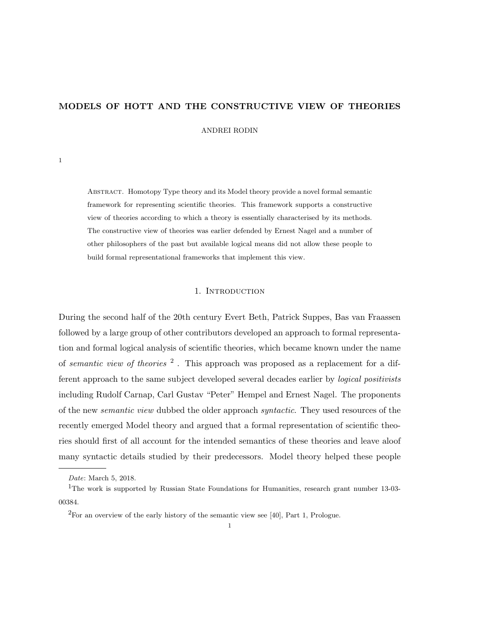# MODELS OF HOTT AND THE CONSTRUCTIVE VIEW OF THEORIES

ANDREI RODIN

1

Abstract. Homotopy Type theory and its Model theory provide a novel formal semantic framework for representing scientific theories. This framework supports a constructive view of theories according to which a theory is essentially characterised by its methods. The constructive view of theories was earlier defended by Ernest Nagel and a number of other philosophers of the past but available logical means did not allow these people to build formal representational frameworks that implement this view.

## 1. INTRODUCTION

During the second half of the 20th century Evert Beth, Patrick Suppes, Bas van Fraassen followed by a large group of other contributors developed an approach to formal representation and formal logical analysis of scientific theories, which became known under the name of *semantic view of theories*  $^2$ . This approach was proposed as a replacement for a different approach to the same subject developed several decades earlier by *logical positivists* including Rudolf Carnap, Carl Gustav "Peter" Hempel and Ernest Nagel. The proponents of the new semantic view dubbed the older approach syntactic. They used resources of the recently emerged Model theory and argued that a formal representation of scientific theories should first of all account for the intended semantics of these theories and leave aloof many syntactic details studied by their predecessors. Model theory helped these people

Date: March 5, 2018.

<sup>&</sup>lt;sup>1</sup>The work is supported by Russian State Foundations for Humanities, research grant number 13-03-00384.

 ${}^{2}$ For an overview of the early history of the semantic view see [40], Part 1, Prologue.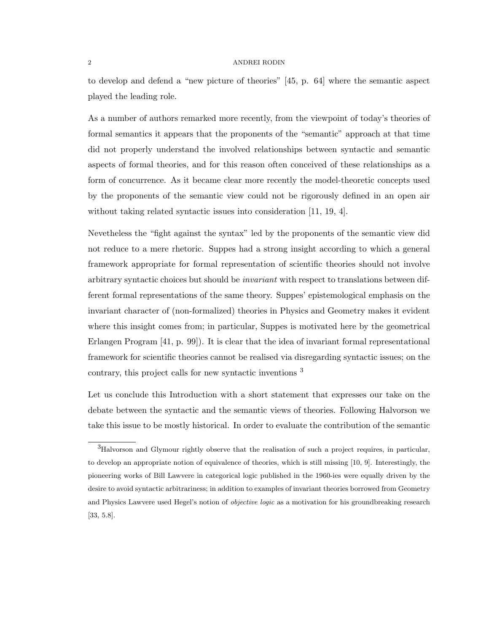to develop and defend a "new picture of theories" [45, p. 64] where the semantic aspect played the leading role.

As a number of authors remarked more recently, from the viewpoint of today's theories of formal semantics it appears that the proponents of the "semantic" approach at that time did not properly understand the involved relationships between syntactic and semantic aspects of formal theories, and for this reason often conceived of these relationships as a form of concurrence. As it became clear more recently the model-theoretic concepts used by the proponents of the semantic view could not be rigorously defined in an open air without taking related syntactic issues into consideration [11, 19, 4].

Nevetheless the "fight against the syntax" led by the proponents of the semantic view did not reduce to a mere rhetoric. Suppes had a strong insight according to which a general framework appropriate for formal representation of scientific theories should not involve arbitrary syntactic choices but should be invariant with respect to translations between different formal representations of the same theory. Suppes' epistemological emphasis on the invariant character of (non-formalized) theories in Physics and Geometry makes it evident where this insight comes from; in particular, Suppes is motivated here by the geometrical Erlangen Program [41, p. 99]). It is clear that the idea of invariant formal representational framework for scientific theories cannot be realised via disregarding syntactic issues; on the contrary, this project calls for new syntactic inventions <sup>3</sup>

Let us conclude this Introduction with a short statement that expresses our take on the debate between the syntactic and the semantic views of theories. Following Halvorson we take this issue to be mostly historical. In order to evaluate the contribution of the semantic

<sup>3</sup>Halvorson and Glymour rightly observe that the realisation of such a project requires, in particular, to develop an appropriate notion of equivalence of theories, which is still missing [10, 9]. Interestingly, the pioneering works of Bill Lawvere in categorical logic published in the 1960-ies were equally driven by the desire to avoid syntactic arbitrariness; in addition to examples of invariant theories borrowed from Geometry and Physics Lawvere used Hegel's notion of *objective logic* as a motivation for his groundbreaking research [33, 5.8].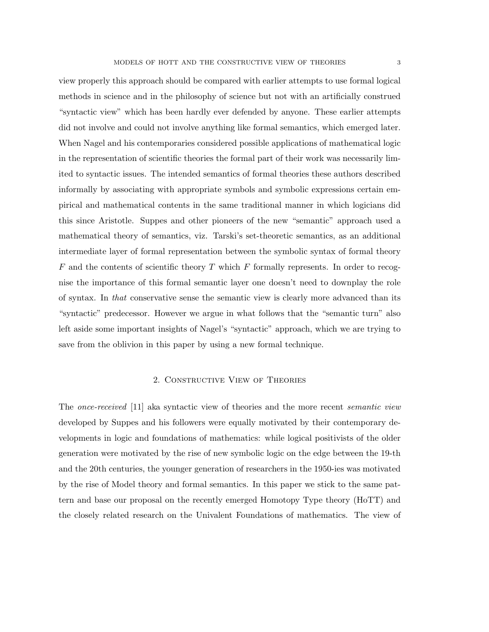view properly this approach should be compared with earlier attempts to use formal logical methods in science and in the philosophy of science but not with an artificially construed "syntactic view" which has been hardly ever defended by anyone. These earlier attempts did not involve and could not involve anything like formal semantics, which emerged later. When Nagel and his contemporaries considered possible applications of mathematical logic in the representation of scientific theories the formal part of their work was necessarily limited to syntactic issues. The intended semantics of formal theories these authors described informally by associating with appropriate symbols and symbolic expressions certain empirical and mathematical contents in the same traditional manner in which logicians did this since Aristotle. Suppes and other pioneers of the new "semantic" approach used a mathematical theory of semantics, viz. Tarski's set-theoretic semantics, as an additional intermediate layer of formal representation between the symbolic syntax of formal theory  $F$  and the contents of scientific theory  $T$  which  $F$  formally represents. In order to recognise the importance of this formal semantic layer one doesn't need to downplay the role of syntax. In that conservative sense the semantic view is clearly more advanced than its "syntactic" predecessor. However we argue in what follows that the "semantic turn" also left aside some important insights of Nagel's "syntactic" approach, which we are trying to save from the oblivion in this paper by using a new formal technique.

## 2. Constructive View of Theories

The *once-received* [11] aka syntactic view of theories and the more recent *semantic view* developed by Suppes and his followers were equally motivated by their contemporary developments in logic and foundations of mathematics: while logical positivists of the older generation were motivated by the rise of new symbolic logic on the edge between the 19-th and the 20th centuries, the younger generation of researchers in the 1950-ies was motivated by the rise of Model theory and formal semantics. In this paper we stick to the same pattern and base our proposal on the recently emerged Homotopy Type theory (HoTT) and the closely related research on the Univalent Foundations of mathematics. The view of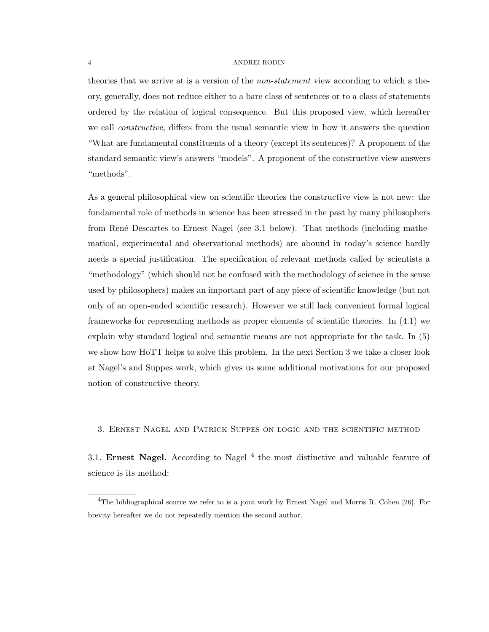theories that we arrive at is a version of the *non-statement* view according to which a theory, generally, does not reduce either to a bare class of sentences or to a class of statements ordered by the relation of logical consequence. But this proposed view, which hereafter we call *constructive*, differs from the usual semantic view in how it answers the question "What are fundamental constituents of a theory (except its sentences)? A proponent of the standard semantic view's answers "models". A proponent of the constructive view answers "methods".

As a general philosophical view on scientific theories the constructive view is not new: the fundamental role of methods in science has been stressed in the past by many philosophers from René Descartes to Ernest Nagel (see 3.1 below). That methods (including mathematical, experimental and observational methods) are abound in today's science hardly needs a special justification. The specification of relevant methods called by scientists a "methodology" (which should not be confused with the methodology of science in the sense used by philosophers) makes an important part of any piece of scientific knowledge (but not only of an open-ended scientific research). However we still lack convenient formal logical frameworks for representing methods as proper elements of scientific theories. In (4.1) we explain why standard logical and semantic means are not appropriate for the task. In (5) we show how HoTT helps to solve this problem. In the next Section 3 we take a closer look at Nagel's and Suppes work, which gives us some additional motivations for our proposed notion of constructive theory.

## 3. Ernest Nagel and Patrick Suppes on logic and the scientific method

3.1. Ernest Nagel. According to Nagel<sup>4</sup> the most distinctive and valuable feature of science is its method:

<sup>&</sup>lt;sup>4</sup>The bibliographical source we refer to is a joint work by Ernest Nagel and Morris R. Cohen [26]. For brevity hereafter we do not repeatedly mention the second author.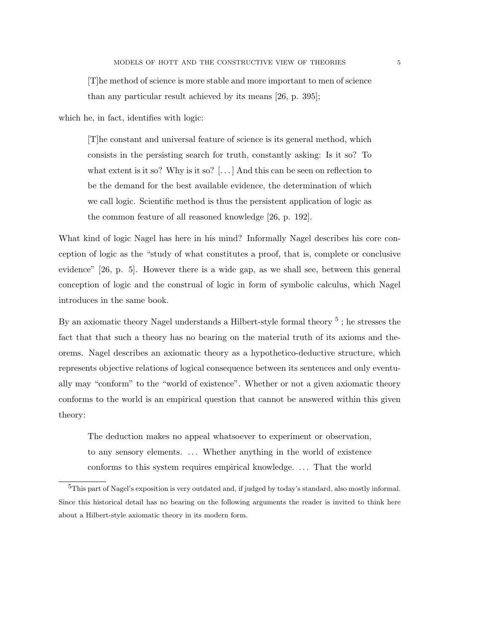[T]he method of science is more stable and more important to men of science than any particular result achieved by its means [26, p. 395];

which he, in fact, identifies with logic:

[T]he constant and universal feature of science is its general method, which consists in the persisting search for truth, constantly asking: Is it so? To what extent is it so? Why is it so?  $[\dots]$  And this can be seen on reflection to be the demand for the best available evidence, the determination of which we call logic. Scientific method is thus the persistent application of logic as the common feature of all reasoned knowledge [26, p. 192].

What kind of logic Nagel has here in his mind? Informally Nagel describes his core conception of logic as the "study of what constitutes a proof, that is, complete or conclusive evidence" [26, p. 5]. However there is a wide gap, as we shall see, between this general conception of logic and the construal of logic in form of symbolic calculus, which Nagel introduces in the same book.

By an axiomatic theory Nagel understands a Hilbert-style formal theory <sup>5</sup>; he stresses the fact that that such a theory has no bearing on the material truth of its axioms and theorems. Nagel describes an axiomatic theory as a hypothetico-deductive structure, which represents objective relations of logical consequence between its sentences and only eventually may "conform" to the "world of existence". Whether or not a given axiomatic theory conforms to the world is an empirical question that cannot be answered within this given theory:

The deduction makes no appeal whatsoever to experiment or observation, to any sensory elements. ... Whether anything in the world of existence conforms to this system requires empirical knowledge. . . . That the world

<sup>5</sup>This part of Nagel's exposition is very outdated and, if judged by today's standard, also mostly informal. Since this historical detail has no bearing on the following arguments the reader is invited to think here about a Hilbert-style axiomatic theory in its modern form.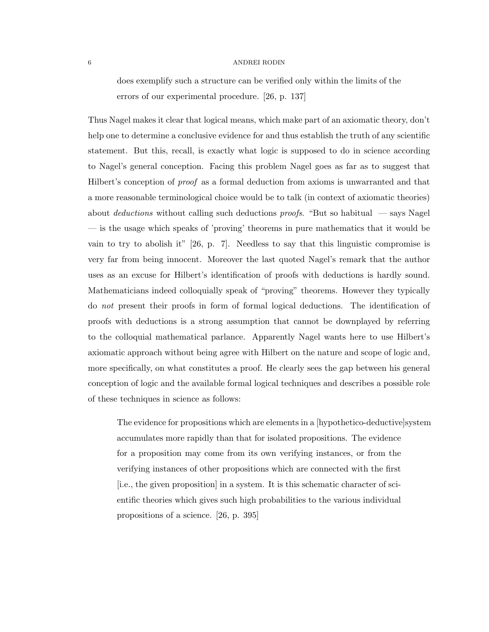does exemplify such a structure can be verified only within the limits of the errors of our experimental procedure. [26, p. 137]

Thus Nagel makes it clear that logical means, which make part of an axiomatic theory, don't help one to determine a conclusive evidence for and thus establish the truth of any scientific statement. But this, recall, is exactly what logic is supposed to do in science according to Nagel's general conception. Facing this problem Nagel goes as far as to suggest that Hilbert's conception of *proof* as a formal deduction from axioms is unwarranted and that a more reasonable terminological choice would be to talk (in context of axiomatic theories) about *deductions* without calling such deductions *proofs*. "But so habitual  $-$  says Nagel — is the usage which speaks of 'proving' theorems in pure mathematics that it would be vain to try to abolish it" [26, p. 7]. Needless to say that this linguistic compromise is very far from being innocent. Moreover the last quoted Nagel's remark that the author uses as an excuse for Hilbert's identification of proofs with deductions is hardly sound. Mathematicians indeed colloquially speak of "proving" theorems. However they typically do not present their proofs in form of formal logical deductions. The identification of proofs with deductions is a strong assumption that cannot be downplayed by referring to the colloquial mathematical parlance. Apparently Nagel wants here to use Hilbert's axiomatic approach without being agree with Hilbert on the nature and scope of logic and, more specifically, on what constitutes a proof. He clearly sees the gap between his general conception of logic and the available formal logical techniques and describes a possible role of these techniques in science as follows:

The evidence for propositions which are elements in a [hypothetico-deductive]system accumulates more rapidly than that for isolated propositions. The evidence for a proposition may come from its own verifying instances, or from the verifying instances of other propositions which are connected with the first [i.e., the given proposition] in a system. It is this schematic character of scientific theories which gives such high probabilities to the various individual propositions of a science. [26, p. 395]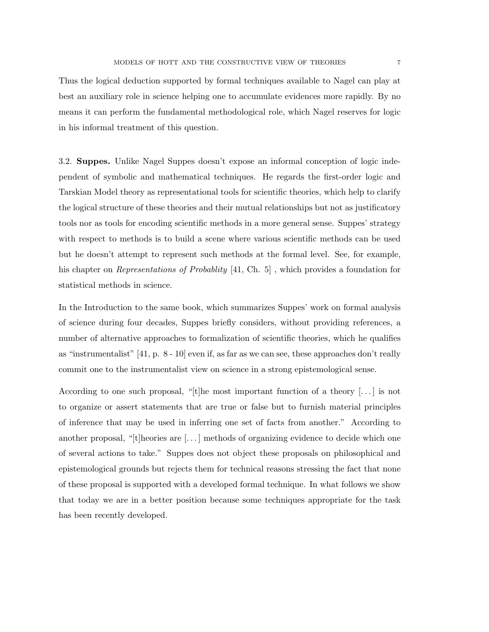Thus the logical deduction supported by formal techniques available to Nagel can play at best an auxiliary role in science helping one to accumulate evidences more rapidly. By no means it can perform the fundamental methodological role, which Nagel reserves for logic in his informal treatment of this question.

3.2. Suppes. Unlike Nagel Suppes doesn't expose an informal conception of logic independent of symbolic and mathematical techniques. He regards the first-order logic and Tarskian Model theory as representational tools for scientific theories, which help to clarify the logical structure of these theories and their mutual relationships but not as justificatory tools nor as tools for encoding scientific methods in a more general sense. Suppes' strategy with respect to methods is to build a scene where various scientific methods can be used but he doesn't attempt to represent such methods at the formal level. See, for example, his chapter on *Representations of Probablity* [41, Ch. 5], which provides a foundation for statistical methods in science.

In the Introduction to the same book, which summarizes Suppes' work on formal analysis of science during four decades, Suppes briefly considers, without providing references, a number of alternative approaches to formalization of scientific theories, which he qualifies as "instrumentalist"  $[41, p. 8 - 10]$  even if, as far as we can see, these approaches don't really commit one to the instrumentalist view on science in a strong epistemological sense.

According to one such proposal, "[t]he most important function of a theory  $[\ldots]$  is not to organize or assert statements that are true or false but to furnish material principles of inference that may be used in inferring one set of facts from another." According to another proposal, "[t]heories are [...] methods of organizing evidence to decide which one of several actions to take." Suppes does not object these proposals on philosophical and epistemological grounds but rejects them for technical reasons stressing the fact that none of these proposal is supported with a developed formal technique. In what follows we show that today we are in a better position because some techniques appropriate for the task has been recently developed.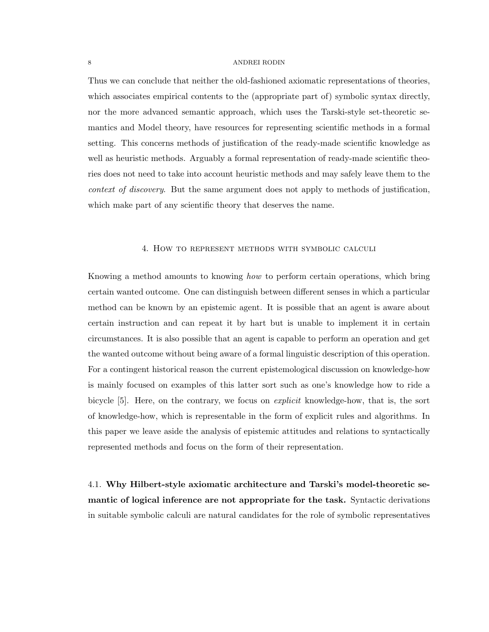Thus we can conclude that neither the old-fashioned axiomatic representations of theories, which associates empirical contents to the (appropriate part of) symbolic syntax directly, nor the more advanced semantic approach, which uses the Tarski-style set-theoretic semantics and Model theory, have resources for representing scientific methods in a formal setting. This concerns methods of justification of the ready-made scientific knowledge as well as heuristic methods. Arguably a formal representation of ready-made scientific theories does not need to take into account heuristic methods and may safely leave them to the context of discovery. But the same argument does not apply to methods of justification, which make part of any scientific theory that deserves the name.

## 4. How to represent methods with symbolic calculi

Knowing a method amounts to knowing *how* to perform certain operations, which bring certain wanted outcome. One can distinguish between different senses in which a particular method can be known by an epistemic agent. It is possible that an agent is aware about certain instruction and can repeat it by hart but is unable to implement it in certain circumstances. It is also possible that an agent is capable to perform an operation and get the wanted outcome without being aware of a formal linguistic description of this operation. For a contingent historical reason the current epistemological discussion on knowledge-how is mainly focused on examples of this latter sort such as one's knowledge how to ride a bicycle [5]. Here, on the contrary, we focus on *explicit* knowledge-how, that is, the sort of knowledge-how, which is representable in the form of explicit rules and algorithms. In this paper we leave aside the analysis of epistemic attitudes and relations to syntactically represented methods and focus on the form of their representation.

4.1. Why Hilbert-style axiomatic architecture and Tarski's model-theoretic semantic of logical inference are not appropriate for the task. Syntactic derivations in suitable symbolic calculi are natural candidates for the role of symbolic representatives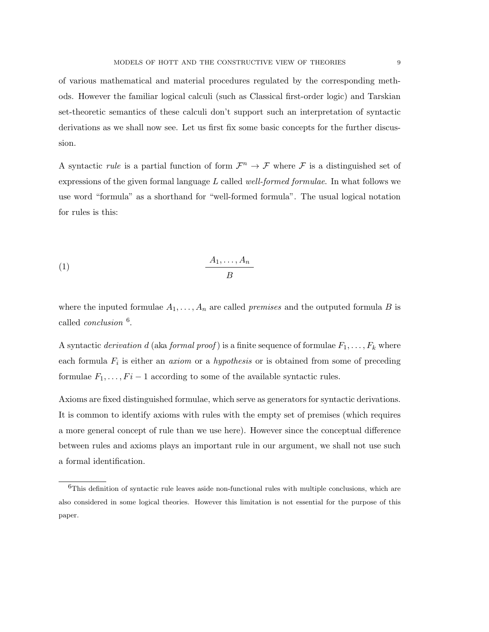of various mathematical and material procedures regulated by the corresponding methods. However the familiar logical calculi (such as Classical first-order logic) and Tarskian set-theoretic semantics of these calculi don't support such an interpretation of syntactic derivations as we shall now see. Let us first fix some basic concepts for the further discussion.

A syntactic *rule* is a partial function of form  $\mathcal{F}^n \to \mathcal{F}$  where  $\mathcal{F}$  is a distinguished set of expressions of the given formal language  $L$  called *well-formed formulae*. In what follows we use word "formula" as a shorthand for "well-formed formula". The usual logical notation for rules is this:

$$
\frac{A_1, \ldots, A_n}{B}
$$

where the inputed formulae  $A_1, \ldots, A_n$  are called *premises* and the outputed formula B is called *conclusion* <sup>6</sup>.

A syntactic *derivation d* (aka *formal proof*) is a finite sequence of formulae  $F_1, \ldots, F_k$  where each formula  $F_i$  is either an *axiom* or a *hypothesis* or is obtained from some of preceding formulae  $F_1, \ldots, F_i-1$  according to some of the available syntactic rules.

Axioms are fixed distinguished formulae, which serve as generators for syntactic derivations. It is common to identify axioms with rules with the empty set of premises (which requires a more general concept of rule than we use here). However since the conceptual difference between rules and axioms plays an important rule in our argument, we shall not use such a formal identification.

 ${}^{6}$ This definition of syntactic rule leaves aside non-functional rules with multiple conclusions, which are also considered in some logical theories. However this limitation is not essential for the purpose of this paper.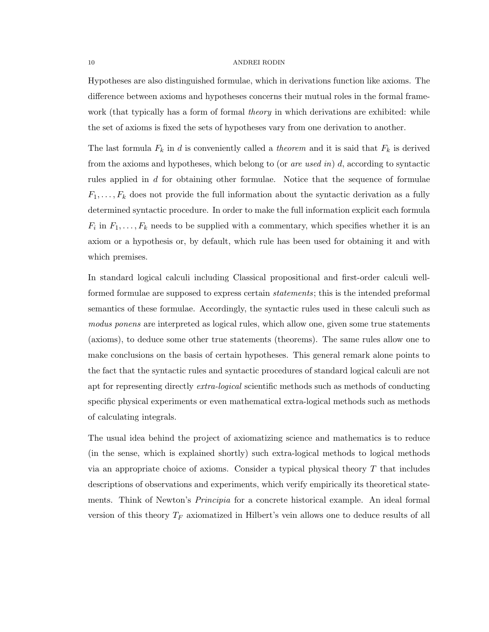Hypotheses are also distinguished formulae, which in derivations function like axioms. The difference between axioms and hypotheses concerns their mutual roles in the formal framework (that typically has a form of formal *theory* in which derivations are exhibited: while the set of axioms is fixed the sets of hypotheses vary from one derivation to another.

The last formula  $F_k$  in d is conveniently called a *theorem* and it is said that  $F_k$  is derived from the axioms and hypotheses, which belong to (or *are used in) d*, according to syntactic rules applied in  $d$  for obtaining other formulae. Notice that the sequence of formulae  $F_1, \ldots, F_k$  does not provide the full information about the syntactic derivation as a fully determined syntactic procedure. In order to make the full information explicit each formula  $F_i$  in  $F_1, \ldots, F_k$  needs to be supplied with a commentary, which specifies whether it is an axiom or a hypothesis or, by default, which rule has been used for obtaining it and with which premises.

In standard logical calculi including Classical propositional and first-order calculi wellformed formulae are supposed to express certain *statements*; this is the intended preformal semantics of these formulae. Accordingly, the syntactic rules used in these calculi such as modus ponens are interpreted as logical rules, which allow one, given some true statements (axioms), to deduce some other true statements (theorems). The same rules allow one to make conclusions on the basis of certain hypotheses. This general remark alone points to the fact that the syntactic rules and syntactic procedures of standard logical calculi are not apt for representing directly *extra-logical* scientific methods such as methods of conducting specific physical experiments or even mathematical extra-logical methods such as methods of calculating integrals.

The usual idea behind the project of axiomatizing science and mathematics is to reduce (in the sense, which is explained shortly) such extra-logical methods to logical methods via an appropriate choice of axioms. Consider a typical physical theory  $T$  that includes descriptions of observations and experiments, which verify empirically its theoretical statements. Think of Newton's Principia for a concrete historical example. An ideal formal version of this theory  $T_F$  axiomatized in Hilbert's vein allows one to deduce results of all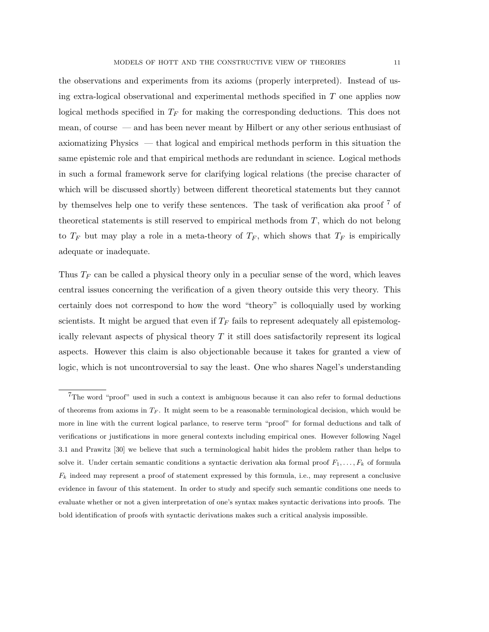the observations and experiments from its axioms (properly interpreted). Instead of using extra-logical observational and experimental methods specified in T one applies now logical methods specified in  $T_F$  for making the corresponding deductions. This does not mean, of course — and has been never meant by Hilbert or any other serious enthusiast of axiomatizing Physics — that logical and empirical methods perform in this situation the same epistemic role and that empirical methods are redundant in science. Logical methods in such a formal framework serve for clarifying logical relations (the precise character of which will be discussed shortly) between different theoretical statements but they cannot by themselves help one to verify these sentences. The task of verification aka proof<sup>7</sup> of theoretical statements is still reserved to empirical methods from  $T$ , which do not belong to  $T_F$  but may play a role in a meta-theory of  $T_F$ , which shows that  $T_F$  is empirically adequate or inadequate.

Thus  $T_F$  can be called a physical theory only in a peculiar sense of the word, which leaves central issues concerning the verification of a given theory outside this very theory. This certainly does not correspond to how the word "theory" is colloquially used by working scientists. It might be argued that even if  $T_F$  fails to represent adequately all epistemologically relevant aspects of physical theory  $T$  it still does satisfactorily represent its logical aspects. However this claim is also objectionable because it takes for granted a view of logic, which is not uncontroversial to say the least. One who shares Nagel's understanding

<sup>7</sup>The word "proof" used in such a context is ambiguous because it can also refer to formal deductions of theorems from axioms in  $T_F$ . It might seem to be a reasonable terminological decision, which would be more in line with the current logical parlance, to reserve term "proof" for formal deductions and talk of verifications or justifications in more general contexts including empirical ones. However following Nagel 3.1 and Prawitz [30] we believe that such a terminological habit hides the problem rather than helps to solve it. Under certain semantic conditions a syntactic derivation aka formal proof  $F_1, \ldots, F_k$  of formula  $F_k$  indeed may represent a proof of statement expressed by this formula, i.e., may represent a conclusive evidence in favour of this statement. In order to study and specify such semantic conditions one needs to evaluate whether or not a given interpretation of one's syntax makes syntactic derivations into proofs. The bold identification of proofs with syntactic derivations makes such a critical analysis impossible.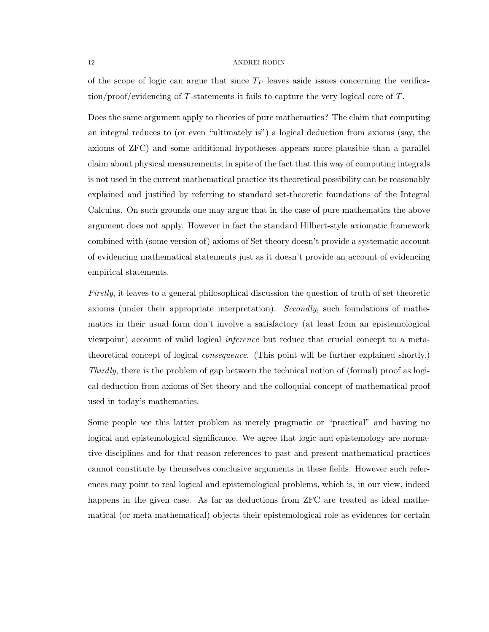of the scope of logic can argue that since  $T_F$  leaves aside issues concerning the verification/proof/evidencing of T-statements it fails to capture the very logical core of T.

Does the same argument apply to theories of pure mathematics? The claim that computing an integral reduces to (or even "ultimately is") a logical deduction from axioms (say, the axioms of ZFC) and some additional hypotheses appears more plausible than a parallel claim about physical measurements; in spite of the fact that this way of computing integrals is not used in the current mathematical practice its theoretical possibility can be reasonably explained and justified by referring to standard set-theoretic foundations of the Integral Calculus. On such grounds one may argue that in the case of pure mathematics the above argument does not apply. However in fact the standard Hilbert-style axiomatic framework combined with (some version of) axioms of Set theory doesn't provide a systematic account of evidencing mathematical statements just as it doesn't provide an account of evidencing empirical statements.

Firstly, it leaves to a general philosophical discussion the question of truth of set-theoretic axioms (under their appropriate interpretation). Secondly, such foundations of mathematics in their usual form don't involve a satisfactory (at least from an epistemological viewpoint) account of valid logical inference but reduce that crucial concept to a metatheoretical concept of logical consequence. (This point will be further explained shortly.) Thirdly, there is the problem of gap between the technical notion of (formal) proof as logical deduction from axioms of Set theory and the colloquial concept of mathematical proof used in today's mathematics.

Some people see this latter problem as merely pragmatic or "practical" and having no logical and epistemological significance. We agree that logic and epistemology are normative disciplines and for that reason references to past and present mathematical practices cannot constitute by themselves conclusive arguments in these fields. However such references may point to real logical and epistemological problems, which is, in our view, indeed happens in the given case. As far as deductions from ZFC are treated as ideal mathematical (or meta-mathematical) objects their epistemological role as evidences for certain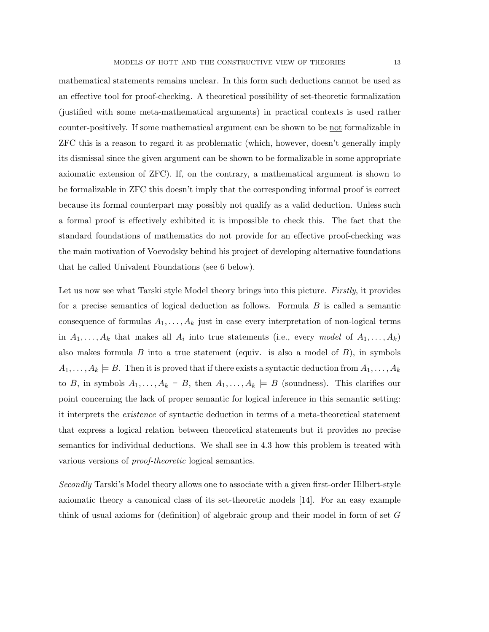mathematical statements remains unclear. In this form such deductions cannot be used as an effective tool for proof-checking. A theoretical possibility of set-theoretic formalization (justified with some meta-mathematical arguments) in practical contexts is used rather counter-positively. If some mathematical argument can be shown to be not formalizable in ZFC this is a reason to regard it as problematic (which, however, doesn't generally imply its dismissal since the given argument can be shown to be formalizable in some appropriate axiomatic extension of ZFC). If, on the contrary, a mathematical argument is shown to be formalizable in ZFC this doesn't imply that the corresponding informal proof is correct because its formal counterpart may possibly not qualify as a valid deduction. Unless such a formal proof is effectively exhibited it is impossible to check this. The fact that the standard foundations of mathematics do not provide for an effective proof-checking was the main motivation of Voevodsky behind his project of developing alternative foundations that he called Univalent Foundations (see 6 below).

Let us now see what Tarski style Model theory brings into this picture. Firstly, it provides for a precise semantics of logical deduction as follows. Formula  $B$  is called a semantic consequence of formulas  $A_1, \ldots, A_k$  just in case every interpretation of non-logical terms in  $A_1, \ldots, A_k$  that makes all  $A_i$  into true statements (i.e., every model of  $A_1, \ldots, A_k$ ) also makes formula  $B$  into a true statement (equiv. is also a model of  $B$ ), in symbols  $A_1, \ldots, A_k \models B$ . Then it is proved that if there exists a syntactic deduction from  $A_1, \ldots, A_k$ to B, in symbols  $A_1, \ldots, A_k \vdash B$ , then  $A_1, \ldots, A_k \models B$  (soundness). This clarifies our point concerning the lack of proper semantic for logical inference in this semantic setting: it interprets the existence of syntactic deduction in terms of a meta-theoretical statement that express a logical relation between theoretical statements but it provides no precise semantics for individual deductions. We shall see in 4.3 how this problem is treated with various versions of proof-theoretic logical semantics.

Secondly Tarski's Model theory allows one to associate with a given first-order Hilbert-style axiomatic theory a canonical class of its set-theoretic models [14]. For an easy example think of usual axioms for (definition) of algebraic group and their model in form of set G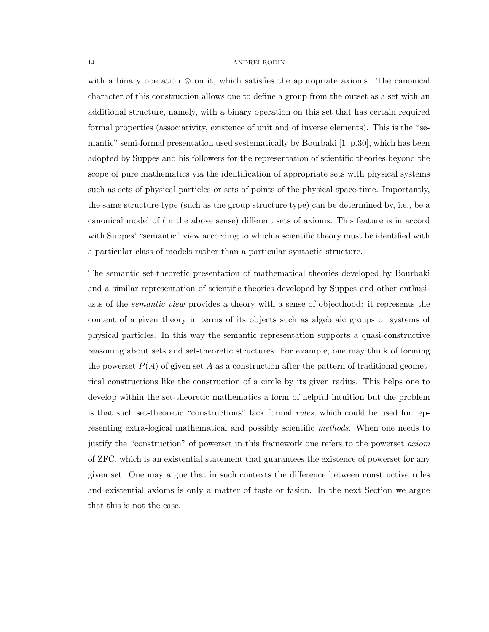with a binary operation ⊗ on it, which satisfies the appropriate axioms. The canonical character of this construction allows one to define a group from the outset as a set with an additional structure, namely, with a binary operation on this set that has certain required formal properties (associativity, existence of unit and of inverse elements). This is the "semantic" semi-formal presentation used systematically by Bourbaki [1, p.30], which has been adopted by Suppes and his followers for the representation of scientific theories beyond the scope of pure mathematics via the identification of appropriate sets with physical systems such as sets of physical particles or sets of points of the physical space-time. Importantly, the same structure type (such as the group structure type) can be determined by, i.e., be a canonical model of (in the above sense) different sets of axioms. This feature is in accord with Suppes' "semantic" view according to which a scientific theory must be identified with a particular class of models rather than a particular syntactic structure.

The semantic set-theoretic presentation of mathematical theories developed by Bourbaki and a similar representation of scientific theories developed by Suppes and other enthusiasts of the semantic view provides a theory with a sense of objecthood: it represents the content of a given theory in terms of its objects such as algebraic groups or systems of physical particles. In this way the semantic representation supports a quasi-constructive reasoning about sets and set-theoretic structures. For example, one may think of forming the powerset  $P(A)$  of given set A as a construction after the pattern of traditional geometrical constructions like the construction of a circle by its given radius. This helps one to develop within the set-theoretic mathematics a form of helpful intuition but the problem is that such set-theoretic "constructions" lack formal *rules*, which could be used for representing extra-logical mathematical and possibly scientific *methods*. When one needs to justify the "construction" of powerset in this framework one refers to the powerset axiom of ZFC, which is an existential statement that guarantees the existence of powerset for any given set. One may argue that in such contexts the difference between constructive rules and existential axioms is only a matter of taste or fasion. In the next Section we argue that this is not the case.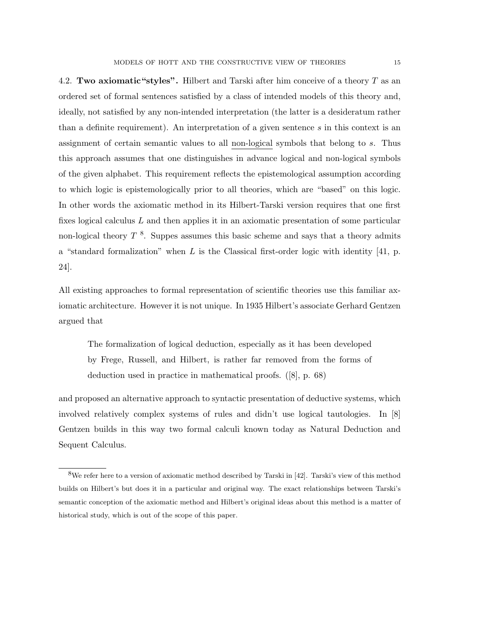4.2. Two axiomatic "styles". Hilbert and Tarski after him conceive of a theory  $T$  as an ordered set of formal sentences satisfied by a class of intended models of this theory and, ideally, not satisfied by any non-intended interpretation (the latter is a desideratum rather than a definite requirement). An interpretation of a given sentence  $s$  in this context is an assignment of certain semantic values to all non-logical symbols that belong to s. Thus this approach assumes that one distinguishes in advance logical and non-logical symbols of the given alphabet. This requirement reflects the epistemological assumption according to which logic is epistemologically prior to all theories, which are "based" on this logic. In other words the axiomatic method in its Hilbert-Tarski version requires that one first fixes logical calculus  $L$  and then applies it in an axiomatic presentation of some particular non-logical theory  $T$ <sup>8</sup>. Suppes assumes this basic scheme and says that a theory admits a "standard formalization" when  $L$  is the Classical first-order logic with identity [41, p. 24].

All existing approaches to formal representation of scientific theories use this familiar axiomatic architecture. However it is not unique. In 1935 Hilbert's associate Gerhard Gentzen argued that

The formalization of logical deduction, especially as it has been developed by Frege, Russell, and Hilbert, is rather far removed from the forms of deduction used in practice in mathematical proofs. ([8], p. 68)

and proposed an alternative approach to syntactic presentation of deductive systems, which involved relatively complex systems of rules and didn't use logical tautologies. In [8] Gentzen builds in this way two formal calculi known today as Natural Deduction and Sequent Calculus.

<sup>8</sup>We refer here to a version of axiomatic method described by Tarski in [42]. Tarski's view of this method builds on Hilbert's but does it in a particular and original way. The exact relationships between Tarski's semantic conception of the axiomatic method and Hilbert's original ideas about this method is a matter of historical study, which is out of the scope of this paper.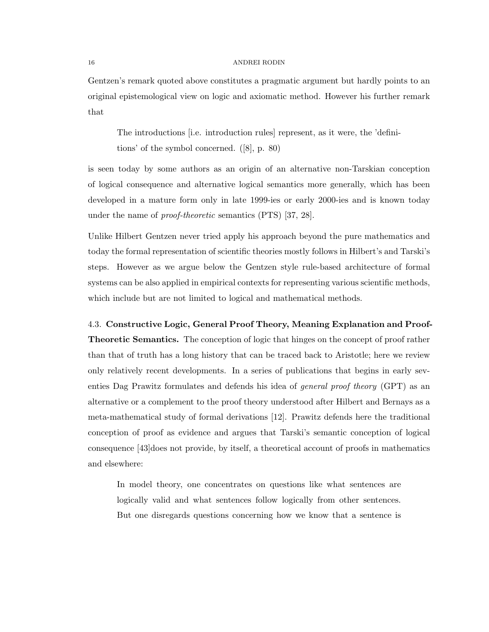Gentzen's remark quoted above constitutes a pragmatic argument but hardly points to an original epistemological view on logic and axiomatic method. However his further remark that

The introductions [i.e. introduction rules] represent, as it were, the 'definitions' of the symbol concerned. ([8], p. 80)

is seen today by some authors as an origin of an alternative non-Tarskian conception of logical consequence and alternative logical semantics more generally, which has been developed in a mature form only in late 1999-ies or early 2000-ies and is known today under the name of proof-theoretic semantics (PTS) [37, 28].

Unlike Hilbert Gentzen never tried apply his approach beyond the pure mathematics and today the formal representation of scientific theories mostly follows in Hilbert's and Tarski's steps. However as we argue below the Gentzen style rule-based architecture of formal systems can be also applied in empirical contexts for representing various scientific methods, which include but are not limited to logical and mathematical methods.

4.3. Constructive Logic, General Proof Theory, Meaning Explanation and Proof-Theoretic Semantics. The conception of logic that hinges on the concept of proof rather than that of truth has a long history that can be traced back to Aristotle; here we review only relatively recent developments. In a series of publications that begins in early seventies Dag Prawitz formulates and defends his idea of *general proof theory* (GPT) as an alternative or a complement to the proof theory understood after Hilbert and Bernays as a meta-mathematical study of formal derivations [12]. Prawitz defends here the traditional conception of proof as evidence and argues that Tarski's semantic conception of logical consequence [43]does not provide, by itself, a theoretical account of proofs in mathematics and elsewhere:

In model theory, one concentrates on questions like what sentences are logically valid and what sentences follow logically from other sentences. But one disregards questions concerning how we know that a sentence is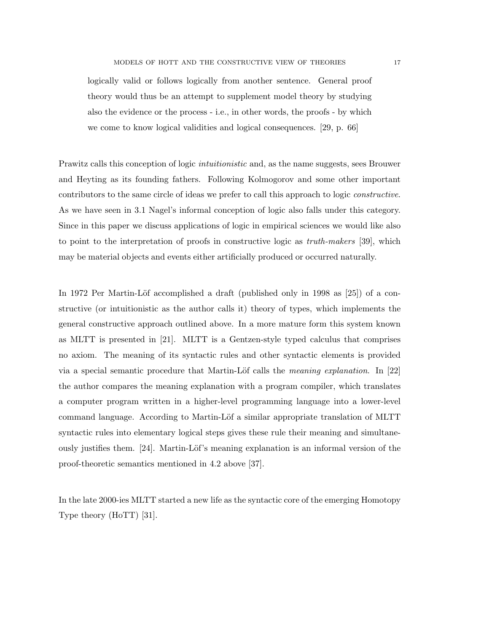logically valid or follows logically from another sentence. General proof theory would thus be an attempt to supplement model theory by studying also the evidence or the process - i.e., in other words, the proofs - by which we come to know logical validities and logical consequences. [29, p. 66]

Prawitz calls this conception of logic intuitionistic and, as the name suggests, sees Brouwer and Heyting as its founding fathers. Following Kolmogorov and some other important contributors to the same circle of ideas we prefer to call this approach to logic constructive. As we have seen in 3.1 Nagel's informal conception of logic also falls under this category. Since in this paper we discuss applications of logic in empirical sciences we would like also to point to the interpretation of proofs in constructive logic as truth-makers [39], which may be material objects and events either artificially produced or occurred naturally.

In 1972 Per Martin-Löf accomplished a draft (published only in 1998 as  $[25]$ ) of a constructive (or intuitionistic as the author calls it) theory of types, which implements the general constructive approach outlined above. In a more mature form this system known as MLTT is presented in [21]. MLTT is a Gentzen-style typed calculus that comprises no axiom. The meaning of its syntactic rules and other syntactic elements is provided via a special semantic procedure that Martin-Löf calls the *meaning explanation*. In [22] the author compares the meaning explanation with a program compiler, which translates a computer program written in a higher-level programming language into a lower-level command language. According to Martin-Löf a similar appropriate translation of MLTT syntactic rules into elementary logical steps gives these rule their meaning and simultaneously justifies them. [24]. Martin-Löf's meaning explanation is an informal version of the proof-theoretic semantics mentioned in 4.2 above [37].

In the late 2000-ies MLTT started a new life as the syntactic core of the emerging Homotopy Type theory (HoTT) [31].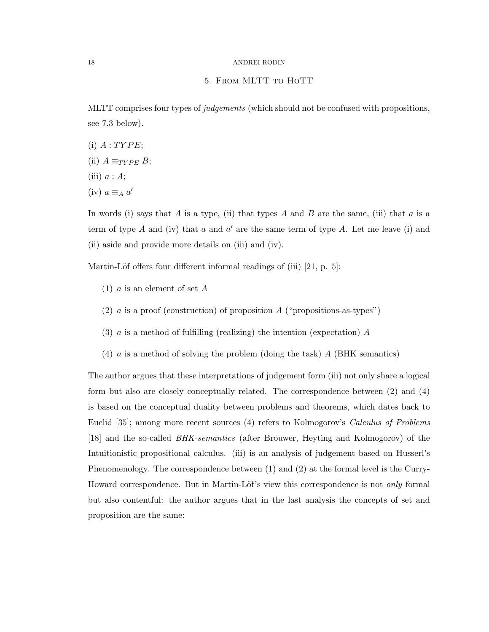## 5. From MLTT to HoTT

MLTT comprises four types of *judgements* (which should not be confused with propositions, see 7.3 below).

- (i)  $A:TYPE;$
- (ii)  $A \equiv_{T Y P E} B;$
- (iii)  $a : A;$
- (iv)  $a \equiv_A a'$

In words (i) says that A is a type, (ii) that types A and B are the same, (iii) that  $a$  is a term of type  $A$  and (iv) that  $a$  and  $a'$  are the same term of type  $A$ . Let me leave (i) and (ii) aside and provide more details on (iii) and (iv).

Martin-Löf offers four different informal readings of (iii)  $[21, p. 5]$ :

- $(1)$  *a* is an element of set *A*
- (2) a is a proof (construction) of proposition  $A$  ("propositions-as-types")
- (3)  $\alpha$  is a method of fulfilling (realizing) the intention (expectation)  $\ddot{A}$
- (4) a is a method of solving the problem (doing the task) A (BHK semantics)

The author argues that these interpretations of judgement form (iii) not only share a logical form but also are closely conceptually related. The correspondence between (2) and (4) is based on the conceptual duality between problems and theorems, which dates back to Euclid [35]; among more recent sources (4) refers to Kolmogorov's *Calculus of Problems* [18] and the so-called BHK-semantics (after Brouwer, Heyting and Kolmogorov) of the Intuitionistic propositional calculus. (iii) is an analysis of judgement based on Husserl's Phenomenology. The correspondence between (1) and (2) at the formal level is the Curry-Howard correspondence. But in Martin-Löf's view this correspondence is not *only* formal but also contentful: the author argues that in the last analysis the concepts of set and proposition are the same: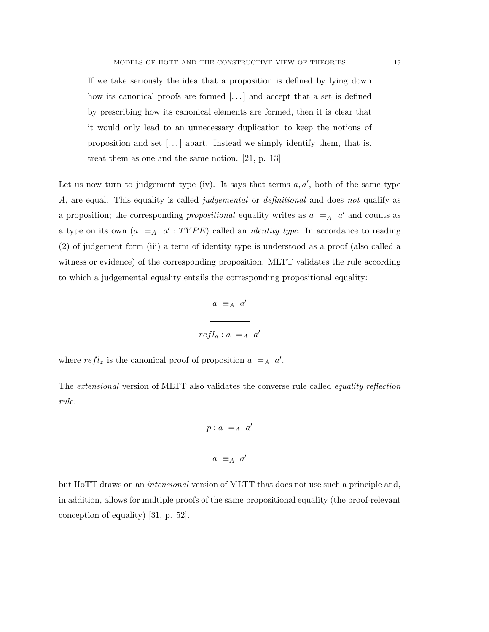If we take seriously the idea that a proposition is defined by lying down how its canonical proofs are formed [...] and accept that a set is defined by prescribing how its canonical elements are formed, then it is clear that it would only lead to an unnecessary duplication to keep the notions of proposition and set  $[...]$  apart. Instead we simply identify them, that is, treat them as one and the same notion. [21, p. 13]

Let us now turn to judgement type (iv). It says that terms  $a, a'$ , both of the same type A, are equal. This equality is called *judgemental* or *definitional* and does not qualify as a proposition; the corresponding propositional equality writes as  $a = A$  a' and counts as a type on its own  $(a =_A a' : TYPE)$  called an *identity type*. In accordance to reading (2) of judgement form (iii) a term of identity type is understood as a proof (also called a witness or evidence) of the corresponding proposition. MLTT validates the rule according to which a judgemental equality entails the corresponding propositional equality:

$$
a \equiv_A a'
$$
  
...  

$$
refl_a: a =_A a'
$$

where  $refl_x$  is the canonical proof of proposition  $a =_A a'$ .

The extensional version of MLTT also validates the converse rule called equality reflection rule:

$$
p: a = A \quad a'
$$
\n
$$
a \equiv_A a'
$$

but HoTT draws on an *intensional* version of MLTT that does not use such a principle and, in addition, allows for multiple proofs of the same propositional equality (the proof-relevant conception of equality) [31, p. 52].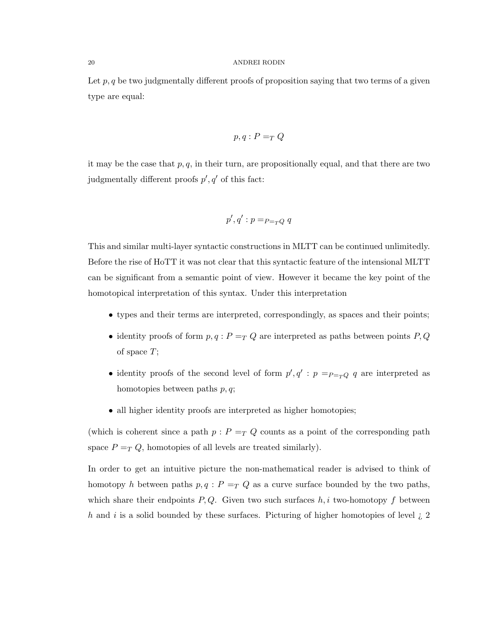Let  $p, q$  be two judgmentally different proofs of proposition saying that two terms of a given type are equal:

$$
p,q:P = T Q
$$

it may be the case that  $p, q$ , in their turn, are propositionally equal, and that there are two judgmentally different proofs  $p', q'$  of this fact:

$$
p', q' : p =_{P = TQ} q
$$

This and similar multi-layer syntactic constructions in MLTT can be continued unlimitedly. Before the rise of HoTT it was not clear that this syntactic feature of the intensional MLTT can be significant from a semantic point of view. However it became the key point of the homotopical interpretation of this syntax. Under this interpretation

- types and their terms are interpreted, correspondingly, as spaces and their points;
- identity proofs of form  $p, q : P = T Q$  are interpreted as paths between points  $P, Q$ of space T;
- identity proofs of the second level of form  $p', q' : p =_{P = TQ} q$  are interpreted as homotopies between paths  $p, q$ ;
- all higher identity proofs are interpreted as higher homotopies;

(which is coherent since a path  $p : P = T Q$  counts as a point of the corresponding path space  $P = T Q$ , homotopies of all levels are treated similarly).

In order to get an intuitive picture the non-mathematical reader is advised to think of homotopy h between paths  $p, q : P = T Q$  as a curve surface bounded by the two paths, which share their endpoints  $P, Q$ . Given two such surfaces  $h, i$  two-homotopy f between h and i is a solid bounded by these surfaces. Picturing of higher homotopies of level  $\zeta$  2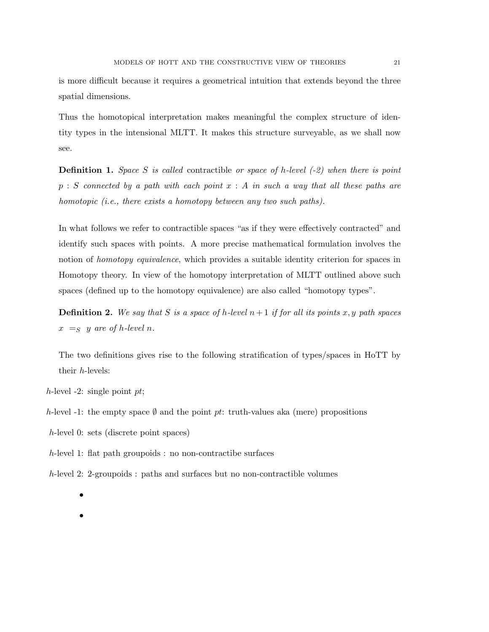is more difficult because it requires a geometrical intuition that extends beyond the three spatial dimensions.

Thus the homotopical interpretation makes meaningful the complex structure of identity types in the intensional MLTT. It makes this structure surveyable, as we shall now see.

**Definition 1.** Space S is called contractible or space of h-level  $(-2)$  when there is point  $p : S$  connected by a path with each point  $x : A$  in such a way that all these paths are homotopic (i.e., there exists a homotopy between any two such paths).

In what follows we refer to contractible spaces "as if they were effectively contracted" and identify such spaces with points. A more precise mathematical formulation involves the notion of *homotopy equivalence*, which provides a suitable identity criterion for spaces in Homotopy theory. In view of the homotopy interpretation of MLTT outlined above such spaces (defined up to the homotopy equivalence) are also called "homotopy types".

**Definition 2.** We say that S is a space of h-level  $n+1$  if for all its points x, y path spaces  $x =_{S} y$  are of h-level n.

The two definitions gives rise to the following stratification of types/spaces in HoTT by their h-levels:

h-level -2: single point  $pt$ ;

h-level -1: the empty space  $\emptyset$  and the point pt: truth-values aka (mere) propositions

h-level 0: sets (discrete point spaces)

h-level 1: flat path groupoids : no non-contractibe surfaces

h-level 2: 2-groupoids : paths and surfaces but no non-contractible volumes

•

•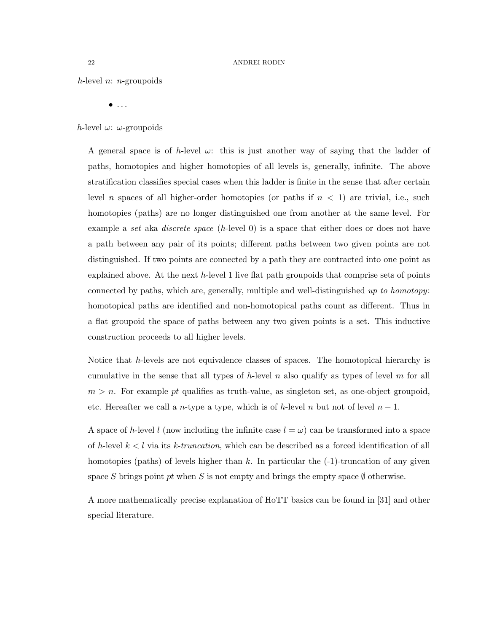h-level *n*: *n*-groupoids

 $\bullet$  ...

h-level  $\omega$ :  $\omega$ -groupoids

A general space is of h-level  $\omega$ : this is just another way of saying that the ladder of paths, homotopies and higher homotopies of all levels is, generally, infinite. The above stratification classifies special cases when this ladder is finite in the sense that after certain level n spaces of all higher-order homotopies (or paths if  $n < 1$ ) are trivial, i.e., such homotopies (paths) are no longer distinguished one from another at the same level. For example a set aka discrete space  $(h$ -level 0) is a space that either does or does not have a path between any pair of its points; different paths between two given points are not distinguished. If two points are connected by a path they are contracted into one point as explained above. At the next h-level 1 live flat path groupoids that comprise sets of points connected by paths, which are, generally, multiple and well-distinguished up to homotopy: homotopical paths are identified and non-homotopical paths count as different. Thus in a flat groupoid the space of paths between any two given points is a set. This inductive construction proceeds to all higher levels.

Notice that h-levels are not equivalence classes of spaces. The homotopical hierarchy is cumulative in the sense that all types of h-level n also qualify as types of level m for all  $m > n$ . For example pt qualifies as truth-value, as singleton set, as one-object groupoid, etc. Hereafter we call a n-type a type, which is of h-level n but not of level  $n-1$ .

A space of h-level l (now including the infinite case  $l = \omega$ ) can be transformed into a space of h-level  $k < l$  via its k-truncation, which can be described as a forced identification of all homotopies (paths) of levels higher than k. In particular the  $(-1)$ -truncation of any given space S brings point pt when S is not empty and brings the empty space  $\emptyset$  otherwise.

A more mathematically precise explanation of HoTT basics can be found in [31] and other special literature.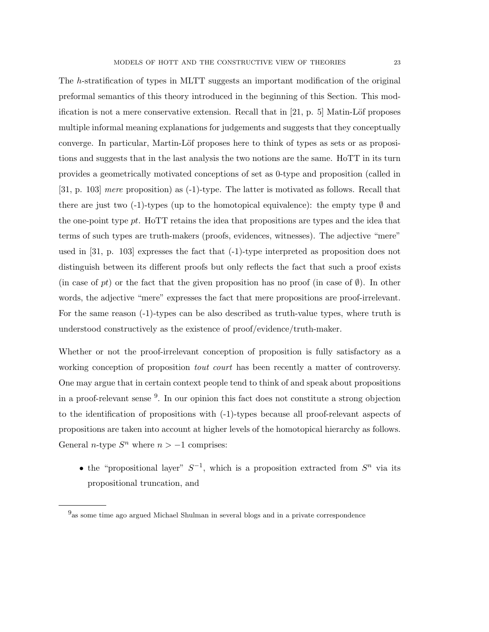The h-stratification of types in MLTT suggests an important modification of the original preformal semantics of this theory introduced in the beginning of this Section. This modification is not a mere conservative extension. Recall that in [21, p. 5] Matin-Löf proposes multiple informal meaning explanations for judgements and suggests that they conceptually converge. In particular, Martin-Löf proposes here to think of types as sets or as propositions and suggests that in the last analysis the two notions are the same. HoTT in its turn provides a geometrically motivated conceptions of set as 0-type and proposition (called in [31, p. 103] mere proposition) as (-1)-type. The latter is motivated as follows. Recall that there are just two  $(-1)$ -types (up to the homotopical equivalence): the empty type  $\emptyset$  and the one-point type pt. HoTT retains the idea that propositions are types and the idea that terms of such types are truth-makers (proofs, evidences, witnesses). The adjective "mere" used in [31, p. 103] expresses the fact that (-1)-type interpreted as proposition does not distinguish between its different proofs but only reflects the fact that such a proof exists (in case of  $pt$ ) or the fact that the given proposition has no proof (in case of  $\emptyset$ ). In other words, the adjective "mere" expresses the fact that mere propositions are proof-irrelevant. For the same reason (-1)-types can be also described as truth-value types, where truth is understood constructively as the existence of proof/evidence/truth-maker.

Whether or not the proof-irrelevant conception of proposition is fully satisfactory as a working conception of proposition *tout court* has been recently a matter of controversy. One may argue that in certain context people tend to think of and speak about propositions in a proof-relevant sense <sup>9</sup> . In our opinion this fact does not constitute a strong objection to the identification of propositions with (-1)-types because all proof-relevant aspects of propositions are taken into account at higher levels of the homotopical hierarchy as follows. General *n*-type  $S<sup>n</sup>$  where  $n > -1$  comprises:

• the "propositional layer"  $S^{-1}$ , which is a proposition extracted from  $S^{n}$  via its propositional truncation, and

<sup>&</sup>lt;sup>9</sup> as some time ago argued Michael Shulman in several blogs and in a private correspondence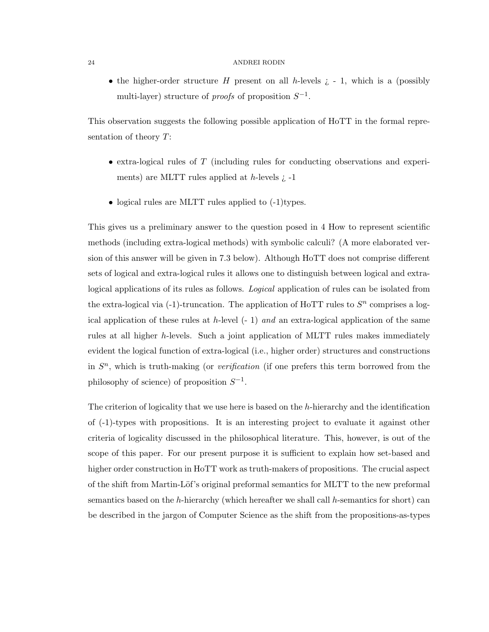• the higher-order structure H present on all h-levels  $i - 1$ , which is a (possibly multi-layer) structure of *proofs* of proposition  $S^{-1}$ .

This observation suggests the following possible application of HoTT in the formal representation of theory T:

- extra-logical rules of T (including rules for conducting observations and experiments) are MLTT rules applied at h-levels  $\zeta$ -1
- logical rules are MLTT rules applied to  $(-1)$ types.

This gives us a preliminary answer to the question posed in 4 How to represent scientific methods (including extra-logical methods) with symbolic calculi? (A more elaborated version of this answer will be given in 7.3 below). Although HoTT does not comprise different sets of logical and extra-logical rules it allows one to distinguish between logical and extralogical applications of its rules as follows. Logical application of rules can be isolated from the extra-logical via  $(-1)$ -truncation. The application of HoTT rules to  $S<sup>n</sup>$  comprises a logical application of these rules at h-level  $(-1)$  and an extra-logical application of the same rules at all higher h-levels. Such a joint application of MLTT rules makes immediately evident the logical function of extra-logical (i.e., higher order) structures and constructions in  $S<sup>n</sup>$ , which is truth-making (or *verification* (if one prefers this term borrowed from the philosophy of science) of proposition  $S^{-1}$ .

The criterion of logicality that we use here is based on the  $h$ -hierarchy and the identification of (-1)-types with propositions. It is an interesting project to evaluate it against other criteria of logicality discussed in the philosophical literature. This, however, is out of the scope of this paper. For our present purpose it is sufficient to explain how set-based and higher order construction in HoTT work as truth-makers of propositions. The crucial aspect of the shift from Martin-Löf's original preformal semantics for MLTT to the new preformal semantics based on the h-hierarchy (which hereafter we shall call h-semantics for short) can be described in the jargon of Computer Science as the shift from the propositions-as-types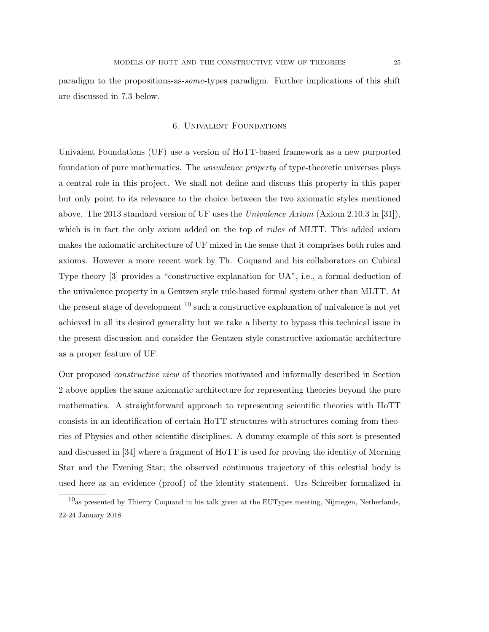paradigm to the propositions-as-some-types paradigm. Further implications of this shift are discussed in 7.3 below.

## 6. Univalent Foundations

Univalent Foundations (UF) use a version of HoTT-based framework as a new purported foundation of pure mathematics. The univalence property of type-theoretic universes plays a central role in this project. We shall not define and discuss this property in this paper but only point to its relevance to the choice between the two axiomatic styles mentioned above. The 2013 standard version of UF uses the Univalence Axiom (Axiom 2.10.3 in [31]), which is in fact the only axiom added on the top of *rules* of MLTT. This added axiom makes the axiomatic architecture of UF mixed in the sense that it comprises both rules and axioms. However a more recent work by Th. Coquand and his collaborators on Cubical Type theory [3] provides a "constructive explanation for UA", i.e., a formal deduction of the univalence property in a Gentzen style rule-based formal system other than MLTT. At the present stage of development  $10$  such a constructive explanation of univalence is not yet achieved in all its desired generality but we take a liberty to bypass this technical issue in the present discussion and consider the Gentzen style constructive axiomatic architecture as a proper feature of UF.

Our proposed constructive view of theories motivated and informally described in Section 2 above applies the same axiomatic architecture for representing theories beyond the pure mathematics. A straightforward approach to representing scientific theories with HoTT consists in an identification of certain HoTT structures with structures coming from theories of Physics and other scientific disciplines. A dummy example of this sort is presented and discussed in [34] where a fragment of HoTT is used for proving the identity of Morning Star and the Evening Star; the observed continuous trajectory of this celestial body is used here as an evidence (proof) of the identity statement. Urs Schreiber formalized in

 $10<sub>as</sub>$  presented by Thierry Coquand in his talk given at the EUTypes meeting, Nijmegen, Netherlands, 22-24 January 2018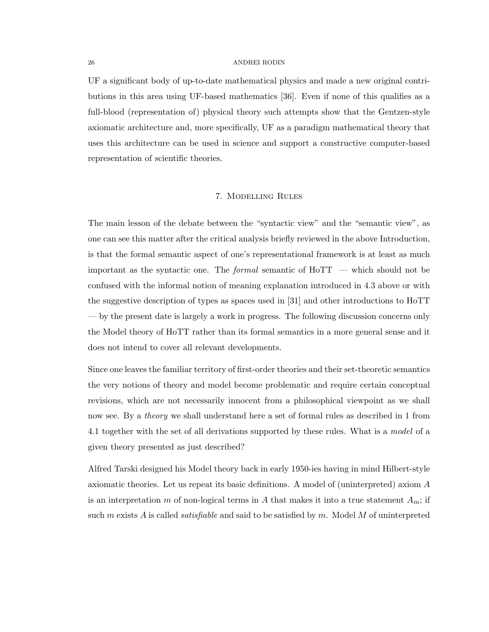UF a significant body of up-to-date mathematical physics and made a new original contributions in this area using UF-based mathematics [36]. Even if none of this qualifies as a full-blood (representation of) physical theory such attempts show that the Gentzen-style axiomatic architecture and, more specifically, UF as a paradigm mathematical theory that uses this architecture can be used in science and support a constructive computer-based representation of scientific theories.

## 7. Modelling Rules

The main lesson of the debate between the "syntactic view" and the "semantic view", as one can see this matter after the critical analysis briefly reviewed in the above Introduction, is that the formal semantic aspect of one's representational framework is at least as much important as the syntactic one. The *formal* semantic of  $HoTT$  — which should not be confused with the informal notion of meaning explanation introduced in 4.3 above or with the suggestive description of types as spaces used in [31] and other introductions to HoTT — by the present date is largely a work in progress. The following discussion concerns only the Model theory of HoTT rather than its formal semantics in a more general sense and it does not intend to cover all relevant developments.

Since one leaves the familiar territory of first-order theories and their set-theoretic semantics the very notions of theory and model become problematic and require certain conceptual revisions, which are not necessarily innocent from a philosophical viewpoint as we shall now see. By a *theory* we shall understand here a set of formal rules as described in 1 from 4.1 together with the set of all derivations supported by these rules. What is a model of a given theory presented as just described?

Alfred Tarski designed his Model theory back in early 1950-ies having in mind Hilbert-style axiomatic theories. Let us repeat its basic definitions. A model of (uninterpreted) axiom A is an interpretation m of non-logical terms in A that makes it into a true statement  $A_m$ ; if such m exists A is called *satisfiable* and said to be satisfied by m. Model M of uninterpreted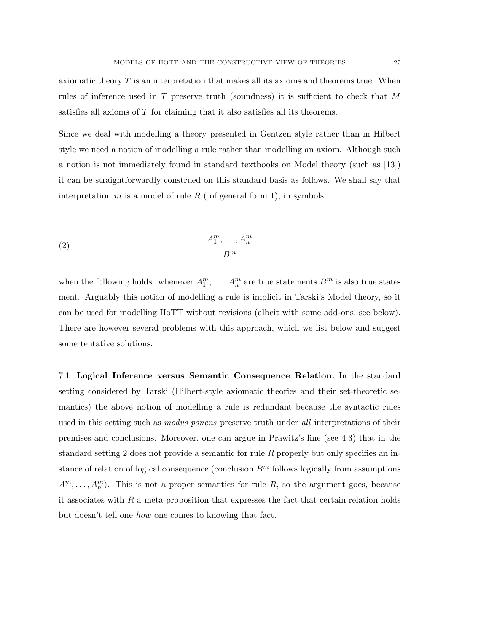axiomatic theory  $T$  is an interpretation that makes all its axioms and theorems true. When rules of inference used in T preserve truth (soundness) it is sufficient to check that  $M$ satisfies all axioms of T for claiming that it also satisfies all its theorems.

Since we deal with modelling a theory presented in Gentzen style rather than in Hilbert style we need a notion of modelling a rule rather than modelling an axiom. Although such a notion is not immediately found in standard textbooks on Model theory (such as [13]) it can be straightforwardly construed on this standard basis as follows. We shall say that interpretation m is a model of rule R  $($  of general form 1 $)$ , in symbols

$$
\frac{A_1^m, \dots, A_n^m}{B^m}
$$

when the following holds: whenever  $A_1^m, \ldots, A_n^m$  are true statements  $B^m$  is also true statement. Arguably this notion of modelling a rule is implicit in Tarski's Model theory, so it can be used for modelling HoTT without revisions (albeit with some add-ons, see below). There are however several problems with this approach, which we list below and suggest some tentative solutions.

7.1. Logical Inference versus Semantic Consequence Relation. In the standard setting considered by Tarski (Hilbert-style axiomatic theories and their set-theoretic semantics) the above notion of modelling a rule is redundant because the syntactic rules used in this setting such as *modus ponens* preserve truth under all interpretations of their premises and conclusions. Moreover, one can argue in Prawitz's line (see 4.3) that in the standard setting 2 does not provide a semantic for rule  $R$  properly but only specifies an instance of relation of logical consequence (conclusion  $B<sup>m</sup>$  follows logically from assumptions  $A_1^m, \ldots, A_n^m$ ). This is not a proper semantics for rule R, so the argument goes, because it associates with  $R$  a meta-proposition that expresses the fact that certain relation holds but doesn't tell one how one comes to knowing that fact.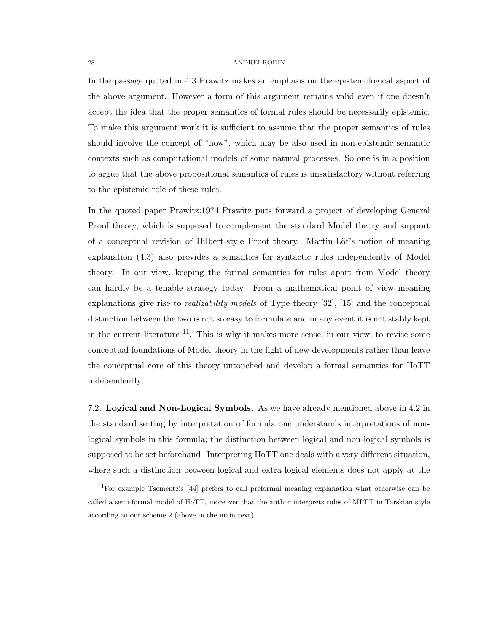In the passage quoted in 4.3 Prawitz makes an emphasis on the epistemological aspect of the above argument. However a form of this argument remains valid even if one doesn't accept the idea that the proper semantics of formal rules should be necessarily epistemic. To make this argument work it is sufficient to assume that the proper semantics of rules should involve the concept of "how", which may be also used in non-epistemic semantic contexts such as computational models of some natural processes. So one is in a position to argue that the above propositional semantics of rules is unsatisfactory without referring to the epistemic role of these rules.

In the quoted paper Prawitz:1974 Prawitz puts forward a project of developing General Proof theory, which is supposed to complement the standard Model theory and support of a conceptual revision of Hilbert-style Proof theory. Martin-Löf's notion of meaning explanation (4.3) also provides a semantics for syntactic rules independently of Model theory. In our view, keeping the formal semantics for rules apart from Model theory can hardly be a tenable strategy today. From a mathematical point of view meaning explanations give rise to *realizability models* of Type theory [32], [15] and the conceptual distinction between the two is not so easy to formulate and in any event it is not stably kept in the current literature  $11$ . This is why it makes more sense, in our view, to revise some conceptual foundations of Model theory in the light of new developments rather than leave the conceptual core of this theory untouched and develop a formal semantics for HoTT independently.

7.2. Logical and Non-Logical Symbols. As we have already mentioned above in 4.2 in the standard setting by interpretation of formula one understands interpretations of nonlogical symbols in this formula; the distinction between logical and non-logical symbols is supposed to be set beforehand. Interpreting HoTT one deals with a very different situation, where such a distinction between logical and extra-logical elements does not apply at the

<sup>11</sup>For example Tsementzis [44] prefers to call preformal meaning explanation what otherwise can be called a semi-formal model of HoTT, moreover that the author interprets rules of MLTT in Tarskian style according to our scheme 2 (above in the main text).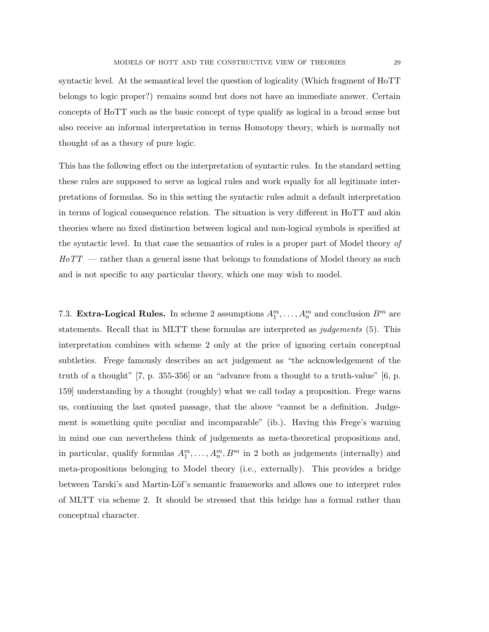syntactic level. At the semantical level the question of logicality (Which fragment of HoTT belongs to logic proper?) remains sound but does not have an immediate answer. Certain concepts of HoTT such as the basic concept of type qualify as logical in a broad sense but also receive an informal interpretation in terms Homotopy theory, which is normally not thought of as a theory of pure logic.

This has the following effect on the interpretation of syntactic rules. In the standard setting these rules are supposed to serve as logical rules and work equally for all legitimate interpretations of formulas. So in this setting the syntactic rules admit a default interpretation in terms of logical consequence relation. The situation is very different in HoTT and akin theories where no fixed distinction between logical and non-logical symbols is specified at the syntactic level. In that case the semantics of rules is a proper part of Model theory of  $H\sigma TT$  — rather than a general issue that belongs to foundations of Model theory as such and is not specific to any particular theory, which one may wish to model.

7.3. **Extra-Logical Rules.** In scheme 2 assumptions  $A_1^m, \ldots, A_n^m$  and conclusion  $B^m$  are statements. Recall that in MLTT these formulas are interpreted as *judgements* (5). This interpretation combines with scheme 2 only at the price of ignoring certain conceptual subtleties. Frege famously describes an act judgement as "the acknowledgement of the truth of a thought"  $[7, p. 355-356]$  or an "advance from a thought to a truth-value"  $[6, p. 355-356]$ 159] understanding by a thought (roughly) what we call today a proposition. Frege warns us, continuing the last quoted passage, that the above "cannot be a definition. Judgement is something quite peculiar and incomparable" (ib.). Having this Frege's warning in mind one can nevertheless think of judgements as meta-theoretical propositions and, in particular, qualify formulas  $A_1^m, \ldots, A_n^m, B^m$  in 2 both as judgements (internally) and meta-propositions belonging to Model theory (i.e., externally). This provides a bridge between Tarski's and Martin-Löf's semantic frameworks and allows one to interpret rules of MLTT via scheme 2. It should be stressed that this bridge has a formal rather than conceptual character.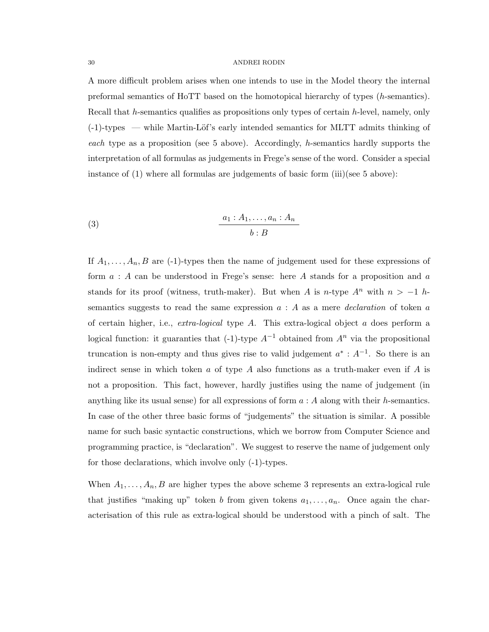A more difficult problem arises when one intends to use in the Model theory the internal preformal semantics of HoTT based on the homotopical hierarchy of types (h-semantics). Recall that h-semantics qualifies as propositions only types of certain h-level, namely, only  $(-1)$ -types — while Martin-Löf's early intended semantics for MLTT admits thinking of each type as a proposition (see 5 above). Accordingly, h-semantics hardly supports the interpretation of all formulas as judgements in Frege's sense of the word. Consider a special instance of (1) where all formulas are judgements of basic form (iii)(see 5 above):

$$
(3) \qquad \qquad \frac{a_1: A_1, \ldots, a_n: A_n}{b:B}
$$

If  $A_1, \ldots, A_n, B$  are (-1)-types then the name of judgement used for these expressions of form  $a: A$  can be understood in Frege's sense: here A stands for a proposition and  $a$ stands for its proof (witness, truth-maker). But when A is n-type  $A^n$  with  $n > -1$  hsemantics suggests to read the same expression  $a : A$  as a mere *declaration* of token a of certain higher, i.e.,  $extra\text{-}logical \text{ type } A$ . This extra-logical object a does perform a logical function: it guaranties that  $(-1)$ -type  $A^{-1}$  obtained from  $A^n$  via the propositional truncation is non-empty and thus gives rise to valid judgement  $a^* : A^{-1}$ . So there is an indirect sense in which token a of type A also functions as a truth-maker even if A is not a proposition. This fact, however, hardly justifies using the name of judgement (in anything like its usual sense) for all expressions of form  $a : A$  along with their h-semantics. In case of the other three basic forms of "judgements" the situation is similar. A possible name for such basic syntactic constructions, which we borrow from Computer Science and programming practice, is "declaration". We suggest to reserve the name of judgement only for those declarations, which involve only (-1)-types.

When  $A_1, \ldots, A_n, B$  are higher types the above scheme 3 represents an extra-logical rule that justifies "making up" token b from given tokens  $a_1, \ldots, a_n$ . Once again the characterisation of this rule as extra-logical should be understood with a pinch of salt. The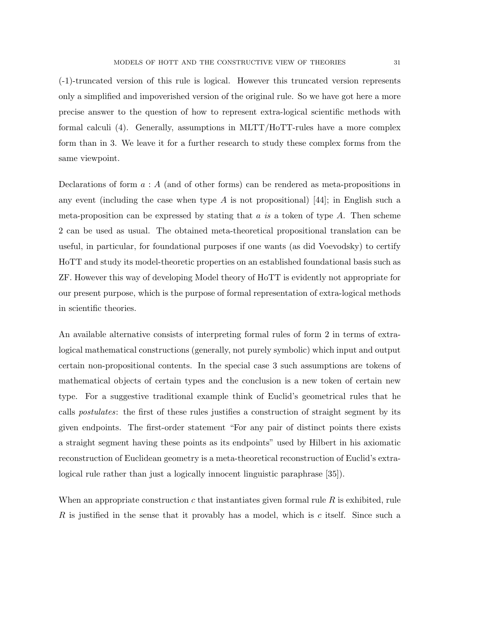(-1)-truncated version of this rule is logical. However this truncated version represents only a simplified and impoverished version of the original rule. So we have got here a more precise answer to the question of how to represent extra-logical scientific methods with formal calculi (4). Generally, assumptions in MLTT/HoTT-rules have a more complex form than in 3. We leave it for a further research to study these complex forms from the same viewpoint.

Declarations of form  $a : A$  (and of other forms) can be rendered as meta-propositions in any event (including the case when type A is not propositional) [44]; in English such a meta-proposition can be expressed by stating that  $a$  is a token of type  $A$ . Then scheme 2 can be used as usual. The obtained meta-theoretical propositional translation can be useful, in particular, for foundational purposes if one wants (as did Voevodsky) to certify HoTT and study its model-theoretic properties on an established foundational basis such as ZF. However this way of developing Model theory of HoTT is evidently not appropriate for our present purpose, which is the purpose of formal representation of extra-logical methods in scientific theories.

An available alternative consists of interpreting formal rules of form 2 in terms of extralogical mathematical constructions (generally, not purely symbolic) which input and output certain non-propositional contents. In the special case 3 such assumptions are tokens of mathematical objects of certain types and the conclusion is a new token of certain new type. For a suggestive traditional example think of Euclid's geometrical rules that he calls postulates: the first of these rules justifies a construction of straight segment by its given endpoints. The first-order statement "For any pair of distinct points there exists a straight segment having these points as its endpoints" used by Hilbert in his axiomatic reconstruction of Euclidean geometry is a meta-theoretical reconstruction of Euclid's extralogical rule rather than just a logically innocent linguistic paraphrase [35]).

When an appropriate construction c that instantiates given formal rule  $R$  is exhibited, rule R is justified in the sense that it provably has a model, which is c itself. Since such a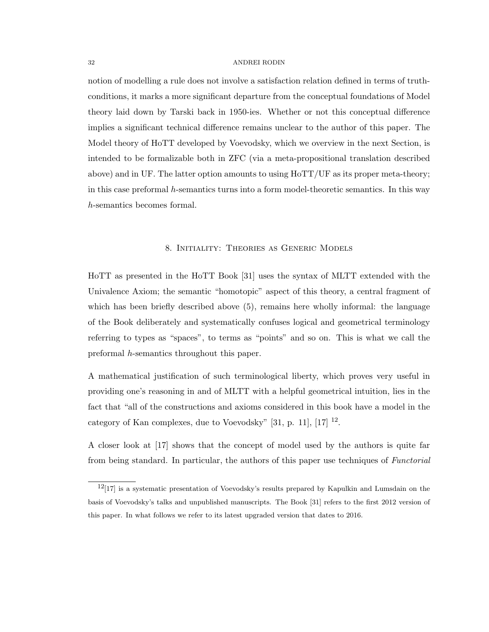notion of modelling a rule does not involve a satisfaction relation defined in terms of truthconditions, it marks a more significant departure from the conceptual foundations of Model theory laid down by Tarski back in 1950-ies. Whether or not this conceptual difference implies a significant technical difference remains unclear to the author of this paper. The Model theory of HoTT developed by Voevodsky, which we overview in the next Section, is intended to be formalizable both in ZFC (via a meta-propositional translation described above) and in UF. The latter option amounts to using HoTT/UF as its proper meta-theory; in this case preformal h-semantics turns into a form model-theoretic semantics. In this way h-semantics becomes formal.

# 8. Initiality: Theories as Generic Models

HoTT as presented in the HoTT Book [31] uses the syntax of MLTT extended with the Univalence Axiom; the semantic "homotopic" aspect of this theory, a central fragment of which has been briefly described above  $(5)$ , remains here wholly informal: the language of the Book deliberately and systematically confuses logical and geometrical terminology referring to types as "spaces", to terms as "points" and so on. This is what we call the preformal h-semantics throughout this paper.

A mathematical justification of such terminological liberty, which proves very useful in providing one's reasoning in and of MLTT with a helpful geometrical intuition, lies in the fact that "all of the constructions and axioms considered in this book have a model in the category of Kan complexes, due to Voevodsky" [31, p. 11],  $[17]$ <sup>12</sup>.

A closer look at [17] shows that the concept of model used by the authors is quite far from being standard. In particular, the authors of this paper use techniques of *Functorial* 

 $12$ [17] is a systematic presentation of Voevodsky's results prepared by Kapulkin and Lumsdain on the basis of Voevodsky's talks and unpublished manuscripts. The Book [31] refers to the first 2012 version of this paper. In what follows we refer to its latest upgraded version that dates to 2016.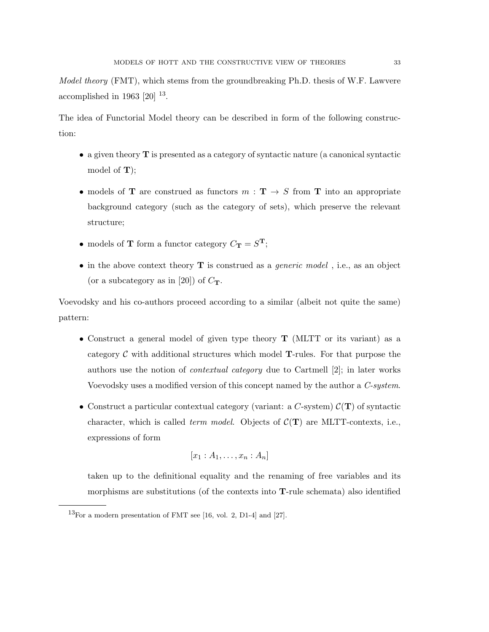Model theory (FMT), which stems from the groundbreaking Ph.D. thesis of W.F. Lawvere accomplished in 1963 [20]  $^{13}$ .

The idea of Functorial Model theory can be described in form of the following construction:

- $\bullet$  a given theory  $\mathbf T$  is presented as a category of syntactic nature (a canonical syntactic model of  $\mathbf{T}$ );
- models of **T** are construed as functors  $m : \mathbf{T} \to S$  from **T** into an appropriate background category (such as the category of sets), which preserve the relevant structure;
- models of **T** form a functor category  $C_T = S^T$ ;
- in the above context theory  $T$  is construed as a *generic model*, i.e., as an object (or a subcategory as in [20]) of  $C_{\rm T}$ .

Voevodsky and his co-authors proceed according to a similar (albeit not quite the same) pattern:

- Construct a general model of given type theory T (MLTT or its variant) as a category  $\mathcal C$  with additional structures which model **T**-rules. For that purpose the authors use the notion of contextual category due to Cartmell [2]; in later works Voevodsky uses a modified version of this concept named by the author a C-system.
- Construct a particular contextual category (variant: a  $C$ -system)  $\mathcal{C}(\mathbf{T})$  of syntactic character, which is called term model. Objects of  $\mathcal{C}(\mathbf{T})$  are MLTT-contexts, i.e., expressions of form

$$
[x_1:A_1,\ldots,x_n:A_n]
$$

taken up to the definitional equality and the renaming of free variables and its morphisms are substitutions (of the contexts into T-rule schemata) also identified

 $13$ For a modern presentation of FMT see [16, vol. 2, D1-4] and [27].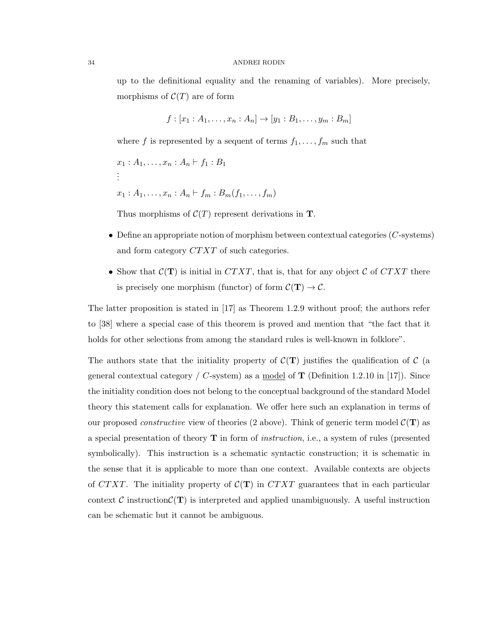up to the definitional equality and the renaming of variables). More precisely, morphisms of  $C(T)$  are of form

$$
f:[x_1:A_1,\ldots,x_n:A_n]\to[y_1:B_1,\ldots,y_m:B_m]
$$

where f is represented by a sequent of terms  $f_1, \ldots, f_m$  such that

$$
x_1 : A_1, ..., x_n : A_n \vdash f_1 : B_1
$$
  
\n:  
\n $x_1 : A_1, ..., x_n : A_n \vdash f_m : B_m(f_1, ..., f_m)$ 

Thus morphisms of  $\mathcal{C}(T)$  represent derivations in **T**.

- Define an appropriate notion of morphism between contextual categories (C-systems) and form category  $CTXT$  of such categories.
- Show that  $\mathcal{C}(\mathbf{T})$  is initial in  $CTXT$ , that is, that for any object C of  $CTXT$  there is precisely one morphism (functor) of form  $\mathcal{C}(\mathbf{T}) \to \mathcal{C}$ .

The latter proposition is stated in [17] as Theorem 1.2.9 without proof; the authors refer to [38] where a special case of this theorem is proved and mention that "the fact that it holds for other selections from among the standard rules is well-known in folklore".

The authors state that the initiality property of  $\mathcal{C}(\mathbf{T})$  justifies the qualification of  $\mathcal{C}$  (a general contextual category / C-system) as a model of **T** (Definition 1.2.10 in [17]). Since the initiality condition does not belong to the conceptual background of the standard Model theory this statement calls for explanation. We offer here such an explanation in terms of our proposed *constructive* view of theories (2 above). Think of generic term model  $\mathcal{C}(\mathbf{T})$  as a special presentation of theory  $T$  in form of *instruction*, i.e., a system of rules (presented symbolically). This instruction is a schematic syntactic construction; it is schematic in the sense that it is applicable to more than one context. Available contexts are objects of CTXT. The initiality property of  $\mathcal{C}(\mathbf{T})$  in CTXT guarantees that in each particular context C instruction $\mathcal{C}(\mathbf{T})$  is interpreted and applied unambiguously. A useful instruction can be schematic but it cannot be ambiguous.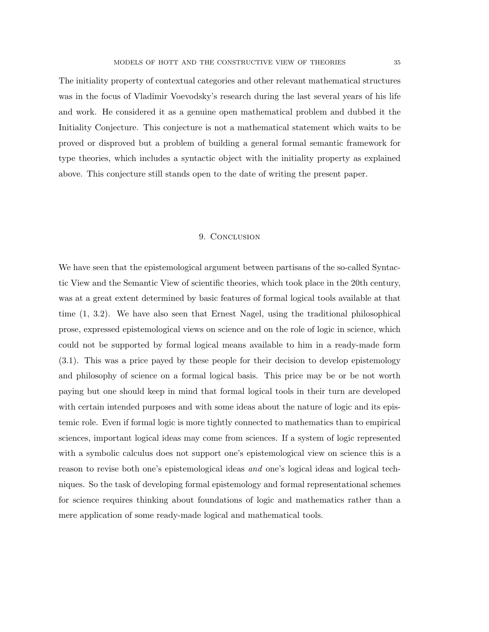The initiality property of contextual categories and other relevant mathematical structures was in the focus of Vladimir Voevodsky's research during the last several years of his life and work. He considered it as a genuine open mathematical problem and dubbed it the Initiality Conjecture. This conjecture is not a mathematical statement which waits to be proved or disproved but a problem of building a general formal semantic framework for type theories, which includes a syntactic object with the initiality property as explained above. This conjecture still stands open to the date of writing the present paper.

## 9. Conclusion

We have seen that the epistemological argument between partisans of the so-called Syntactic View and the Semantic View of scientific theories, which took place in the 20th century, was at a great extent determined by basic features of formal logical tools available at that time (1, 3.2). We have also seen that Ernest Nagel, using the traditional philosophical prose, expressed epistemological views on science and on the role of logic in science, which could not be supported by formal logical means available to him in a ready-made form (3.1). This was a price payed by these people for their decision to develop epistemology and philosophy of science on a formal logical basis. This price may be or be not worth paying but one should keep in mind that formal logical tools in their turn are developed with certain intended purposes and with some ideas about the nature of logic and its epistemic role. Even if formal logic is more tightly connected to mathematics than to empirical sciences, important logical ideas may come from sciences. If a system of logic represented with a symbolic calculus does not support one's epistemological view on science this is a reason to revise both one's epistemological ideas and one's logical ideas and logical techniques. So the task of developing formal epistemology and formal representational schemes for science requires thinking about foundations of logic and mathematics rather than a mere application of some ready-made logical and mathematical tools.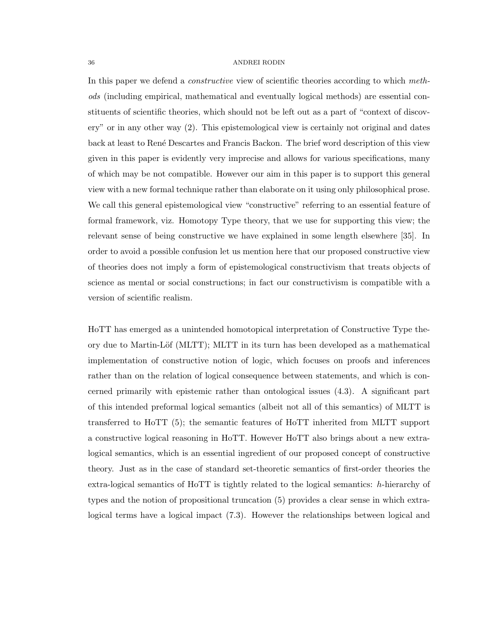In this paper we defend a *constructive* view of scientific theories according to which methods (including empirical, mathematical and eventually logical methods) are essential constituents of scientific theories, which should not be left out as a part of "context of discovery" or in any other way (2). This epistemological view is certainly not original and dates back at least to Ren´e Descartes and Francis Backon. The brief word description of this view given in this paper is evidently very imprecise and allows for various specifications, many of which may be not compatible. However our aim in this paper is to support this general view with a new formal technique rather than elaborate on it using only philosophical prose. We call this general epistemological view "constructive" referring to an essential feature of formal framework, viz. Homotopy Type theory, that we use for supporting this view; the relevant sense of being constructive we have explained in some length elsewhere [35]. In order to avoid a possible confusion let us mention here that our proposed constructive view of theories does not imply a form of epistemological constructivism that treats objects of science as mental or social constructions; in fact our constructivism is compatible with a version of scientific realism.

HoTT has emerged as a unintended homotopical interpretation of Constructive Type theory due to Martin-L¨of (MLTT); MLTT in its turn has been developed as a mathematical implementation of constructive notion of logic, which focuses on proofs and inferences rather than on the relation of logical consequence between statements, and which is concerned primarily with epistemic rather than ontological issues (4.3). A significant part of this intended preformal logical semantics (albeit not all of this semantics) of MLTT is transferred to HoTT (5); the semantic features of HoTT inherited from MLTT support a constructive logical reasoning in HoTT. However HoTT also brings about a new extralogical semantics, which is an essential ingredient of our proposed concept of constructive theory. Just as in the case of standard set-theoretic semantics of first-order theories the extra-logical semantics of HoTT is tightly related to the logical semantics: h-hierarchy of types and the notion of propositional truncation (5) provides a clear sense in which extralogical terms have a logical impact (7.3). However the relationships between logical and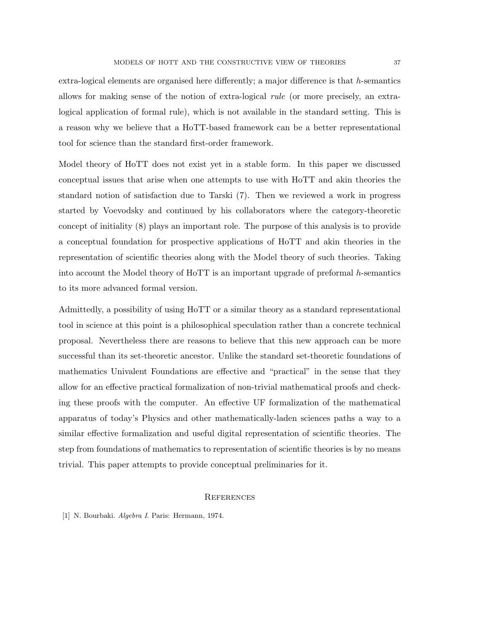$\alpha$  extra-logical elements are organised here differently; a major difference is that h-semantics allows for making sense of the notion of extra-logical rule (or more precisely, an extralogical application of formal rule), which is not available in the standard setting. This is a reason why we believe that a HoTT-based framework can be a better representational tool for science than the standard first-order framework.

Model theory of HoTT does not exist yet in a stable form. In this paper we discussed conceptual issues that arise when one attempts to use with HoTT and akin theories the standard notion of satisfaction due to Tarski (7). Then we reviewed a work in progress started by Voevodsky and continued by his collaborators where the category-theoretic concept of initiality (8) plays an important role. The purpose of this analysis is to provide a conceptual foundation for prospective applications of HoTT and akin theories in the representation of scientific theories along with the Model theory of such theories. Taking into account the Model theory of  $H\sigma TT$  is an important upgrade of preformal h-semantics to its more advanced formal version.

Admittedly, a possibility of using HoTT or a similar theory as a standard representational tool in science at this point is a philosophical speculation rather than a concrete technical proposal. Nevertheless there are reasons to believe that this new approach can be more successful than its set-theoretic ancestor. Unlike the standard set-theoretic foundations of mathematics Univalent Foundations are effective and "practical" in the sense that they allow for an effective practical formalization of non-trivial mathematical proofs and checking these proofs with the computer. An effective UF formalization of the mathematical apparatus of today's Physics and other mathematically-laden sciences paths a way to a similar effective formalization and useful digital representation of scientific theories. The step from foundations of mathematics to representation of scientific theories is by no means trivial. This paper attempts to provide conceptual preliminaries for it.

### **REFERENCES**

[1] N. Bourbaki. Algebra I. Paris: Hermann, 1974.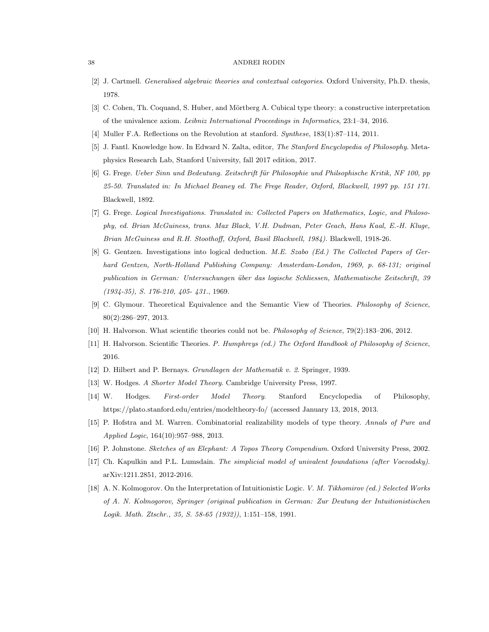- [2] J. Cartmell. Generalised algebraic theories and contextual categories. Oxford University, Ph.D. thesis, 1978.
- [3] C. Cohen, Th. Coquand, S. Huber, and Mörtberg A. Cubical type theory: a constructive interpretation of the univalence axiom. Leibniz International Proceedings in Informatics, 23:1–34, 2016.
- [4] Muller F.A. Reflections on the Revolution at stanford. Synthese, 183(1):87–114, 2011.
- [5] J. Fantl. Knowledge how. In Edward N. Zalta, editor, The Stanford Encyclopedia of Philosophy. Metaphysics Research Lab, Stanford University, fall 2017 edition, 2017.
- [6] G. Frege. Ueber Sinn und Bedeutung. Zeitschrift für Philosophie und Philsophische Kritik, NF 100, pp 25-50. Translated in: In Michael Beaney ed. The Frege Reader, Oxford, Blackwell, 1997 pp. 151 171. Blackwell, 1892.
- [7] G. Frege. Logical Investigations. Translated in: Collected Papers on Mathematics, Logic, and Philosophy, ed. Brian McGuiness, trans. Max Black, V.H. Dudman, Peter Geach, Hans Kaal, E.-H. Kluge, Brian McGuiness and R.H. Stoothoff, Oxford, Basil Blackwell, 1984). Blackwell, 1918-26.
- [8] G. Gentzen. Investigations into logical deduction. M.E. Szabo (Ed.) The Collected Papers of Gerhard Gentzen, North-Holland Publishing Company: Amsterdam-London, 1969, p. 68-131; original publication in German: Untersuchungen ¨uber das logische Schliessen, Mathematische Zeitschrift, 39 (1934-35), S. 176-210, 405- 431., 1969.
- [9] C. Glymour. Theoretical Equivalence and the Semantic View of Theories. Philosophy of Science, 80(2):286–297, 2013.
- [10] H. Halvorson. What scientific theories could not be. Philosophy of Science, 79(2):183–206, 2012.
- [11] H. Halvorson. Scientific Theories. P. Humphreys (ed.) The Oxford Handbook of Philosophy of Science, 2016.
- [12] D. Hilbert and P. Bernays. Grundlagen der Mathematik v. 2. Springer, 1939.
- [13] W. Hodges. A Shorter Model Theory. Cambridge University Press, 1997.
- [14] W. Hodges. First-order Model Theory. Stanford Encyclopedia of Philosophy, https://plato.stanford.edu/entries/modeltheory-fo/ (accessed January 13, 2018, 2013.
- [15] P. Hofstra and M. Warren. Combinatorial realizability models of type theory. Annals of Pure and Applied Logic, 164(10):957–988, 2013.
- [16] P. Johnstone. Sketches of an Elephant: A Topos Theory Compendium. Oxford University Press, 2002.
- [17] Ch. Kapulkin and P.L. Lumsdain. The simplicial model of univalent foundations (after Voevodsky). arXiv:1211.2851, 2012-2016.
- [18] A. N. Kolmogorov. On the Interpretation of Intuitionistic Logic. V. M. Tikhomirov (ed.) Selected Works of A. N. Kolmogorov, Springer (original publication in German: Zur Deutung der Intuitionistischen Logik. Math. Ztschr., 35, S. 58-65 (1932)), 1:151–158, 1991.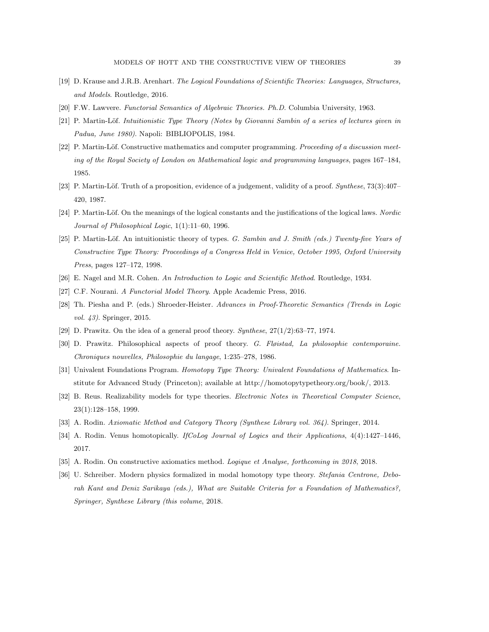- [19] D. Krause and J.R.B. Arenhart. The Logical Foundations of Scientific Theories: Languages, Structures, and Models. Routledge, 2016.
- [20] F.W. Lawvere. Functorial Semantics of Algebraic Theories. Ph.D. Columbia University, 1963.
- [21] P. Martin-Löf. Intuitionistic Type Theory (Notes by Giovanni Sambin of a series of lectures given in Padua, June 1980). Napoli: BIBLIOPOLIS, 1984.
- [22] P. Martin-Löf. Constructive mathematics and computer programming. Proceeding of a discussion meeting of the Royal Society of London on Mathematical logic and programming languages, pages 167–184, 1985.
- [23] P. Martin-Löf. Truth of a proposition, evidence of a judgement, validity of a proof. Synthese, 73(3):407– 420, 1987.
- [24] P. Martin-Löf. On the meanings of the logical constants and the justifications of the logical laws. Nordic Journal of Philosophical Logic, 1(1):11–60, 1996.
- [25] P. Martin-Löf. An intuitionistic theory of types. G. Sambin and J. Smith (eds.) Twenty-five Years of Constructive Type Theory: Proceedings of a Congress Held in Venice, October 1995, Oxford University Press, pages 127–172, 1998.
- [26] E. Nagel and M.R. Cohen. An Introduction to Logic and Scientific Method. Routledge, 1934.
- [27] C.F. Nourani. A Functorial Model Theory. Apple Academic Press, 2016.
- [28] Th. Piesha and P. (eds.) Shroeder-Heister. Advances in Proof-Theoretic Semantics (Trends in Logic vol. 43). Springer, 2015.
- [29] D. Prawitz. On the idea of a general proof theory. Synthese,  $27(1/2):63-77$ , 1974.
- [30] D. Prawitz. Philosophical aspects of proof theory. G. Fløistad, La philosophie contemporaine. Chroniques nouvelles, Philosophie du langage, 1:235–278, 1986.
- [31] Univalent Foundations Program. Homotopy Type Theory: Univalent Foundations of Mathematics. Institute for Advanced Study (Princeton); available at http://homotopytypetheory.org/book/, 2013.
- [32] B. Reus. Realizability models for type theories. *Electronic Notes in Theoretical Computer Science*, 23(1):128–158, 1999.
- [33] A. Rodin. Axiomatic Method and Category Theory (Synthese Library vol. 364). Springer, 2014.
- [34] A. Rodin. Venus homotopically. If Colog Journal of Logics and their Applications, 4(4):1427–1446, 2017.
- [35] A. Rodin. On constructive axiomatics method. Logique et Analyse, forthcoming in 2018, 2018.
- [36] U. Schreiber. Modern physics formalized in modal homotopy type theory. Stefania Centrone, Deborah Kant and Deniz Sarikaya (eds.), What are Suitable Criteria for a Foundation of Mathematics?, Springer, Synthese Library (this volume, 2018.